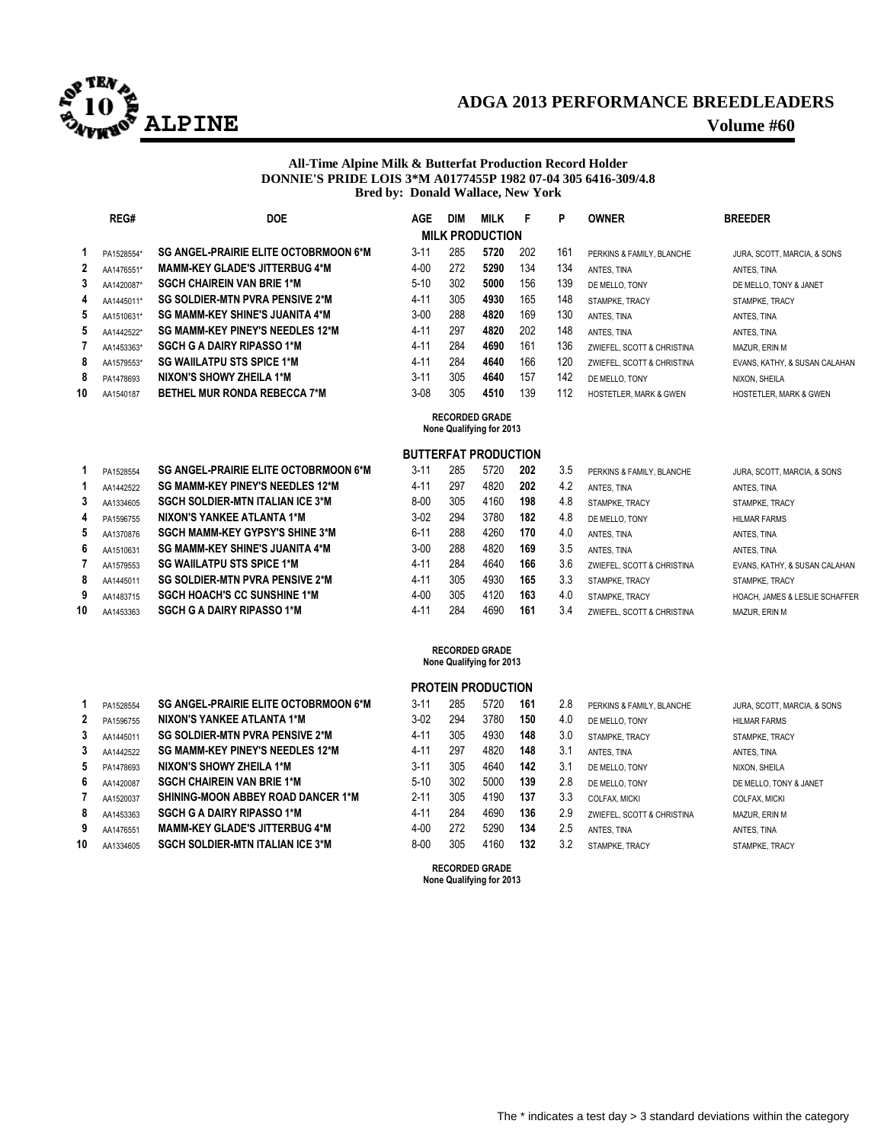

## **ADGA 2013 PERFORMANCE BREEDLEADERS ALPINE Volume #60**

#### **All-Time Alpine Milk & Butterfat Production Record Holder DONNIE'S PRIDE LOIS 3\*M A0177455P 1982 07-04 305 6416-309/4.8 Bred by: Donald Wallace, New York**

|    | REG#                   | <b>DOE</b>                             | AGE      | <b>DIM</b> | <b>MILK</b> | F   | P   | <b>OWNER</b>                      | <b>BREEDER</b>                    |
|----|------------------------|----------------------------------------|----------|------------|-------------|-----|-----|-----------------------------------|-----------------------------------|
|    | <b>MILK PRODUCTION</b> |                                        |          |            |             |     |     |                                   |                                   |
|    | PA1528554*             | SG ANGEL-PRAIRIE ELITE OCTOBRMOON 6*M  | $3 - 11$ | 285        | 5720        | 202 | 161 | PERKINS & FAMILY, BLANCHE         | JURA, SCOTT, MARCIA, & SONS       |
| 2  | AA1476551*             | <b>MAMM-KEY GLADE'S JITTERBUG 4*M</b>  | $4 - 00$ | 272        | 5290        | 134 | 134 | ANTES, TINA                       | ANTES, TINA                       |
| 3  | AA1420087*             | <b>SGCH CHAIREIN VAN BRIE 1*M</b>      | $5-10$   | 302        | 5000        | 156 | 139 | DE MELLO. TONY                    | DE MELLO, TONY & JANET            |
| 4  | AA1445011*             | <b>SG SOLDIER-MTN PVRA PENSIVE 2*M</b> | $4 - 11$ | 305        | 4930        | 165 | 148 | STAMPKE, TRACY                    | STAMPKE. TRACY                    |
| 5  | AA1510631*             | <b>SG MAMM-KEY SHINE'S JUANITA 4*M</b> | $3-00$   | 288        | 4820        | 169 | 130 | ANTES, TINA                       | ANTES, TINA                       |
| 5  | AA1442522*             | SG MAMM-KEY PINEY'S NEEDLES 12*M       | $4 - 11$ | 297        | 4820        | 202 | 148 | ANTES, TINA                       | ANTES, TINA                       |
|    | AA1453363*             | <b>SGCH G A DAIRY RIPASSO 1*M</b>      | $4 - 11$ | 284        | 4690        | 161 | 136 | ZWIEFEL, SCOTT & CHRISTINA        | MAZUR. ERIN M                     |
| 8  | AA1579553*             | <b>SG WAIILATPU STS SPICE 1*M</b>      | $4 - 11$ | 284        | 4640        | 166 | 120 | ZWIEFEL, SCOTT & CHRISTINA        | EVANS, KATHY, & SUSAN CALAHAN     |
| 8  | PA1478693              | NIXON'S SHOWY ZHEILA 1*M               | $3 - 11$ | 305        | 4640        | 157 | 142 | DE MELLO, TONY                    | NIXON, SHEILA                     |
| 10 | AA1540187              | <b>BETHEL MUR RONDA REBECCA 7*M</b>    | $3 - 08$ | 305        | 4510        | 139 | 112 | <b>HOSTETLER, MARK &amp; GWEN</b> | <b>HOSTETLER, MARK &amp; GWEN</b> |

## **RECORDED GRADE None Qualifying for 2013**

#### **BUTTERFAT PRODUCTION**

|    | PA1528554 | <b>SG ANGEL-PRAIRIE ELITE OCTOBRMOON 6*M</b> | $3 - 11$ | 285 | 5720 | 202 | 3.5 | PERKINS & FAMILY, BLANCHE  | JURA, SCOTT, I      |
|----|-----------|----------------------------------------------|----------|-----|------|-----|-----|----------------------------|---------------------|
|    | AA1442522 | <b>SG MAMM-KEY PINEY'S NEEDLES 12*M</b>      | 4-11     | 297 | 4820 | 202 | 4.2 | ANTES, TINA                | ANTES, TINA         |
| 3  | AA1334605 | <b>SGCH SOLDIER-MTN ITALIAN ICE 3*M</b>      | $8 - 00$ | 305 | 4160 | 198 | 4.8 | STAMPKE, TRACY             | STAMPKE, TRA        |
| 4  | PA1596755 | NIXON'S YANKEE ATLANTA 1*M                   | $3-02$   | 294 | 3780 | 182 | 4.8 | DE MELLO. TONY             | <b>HILMAR FARMS</b> |
| 5  | AA1370876 | <b>SGCH MAMM-KEY GYPSY'S SHINE 3*M</b>       | $6 - 11$ | 288 | 4260 | 170 | 4.0 | ANTES. TINA                | ANTES, TINA         |
| 6. | AA1510631 | <b>SG MAMM-KEY SHINE'S JUANITA 4*M</b>       | $3 - 00$ | 288 | 4820 | 169 | 3.5 | ANTES, TINA                | ANTES, TINA         |
|    | AA1579553 | <b>SG WAILATPU STS SPICE 1*M</b>             | 4-11     | 284 | 4640 | 166 | 3.6 | ZWIEFEL, SCOTT & CHRISTINA | EVANS, KATHY.       |
| 8  | AA1445011 | <b>SG SOLDIER-MTN PVRA PENSIVE 2*M</b>       | $4 - 11$ | 305 | 4930 | 165 | 3.3 | STAMPKE. TRACY             | STAMPKE, TRA        |
| 9  | AA1483715 | <b>SGCH HOACH'S CC SUNSHINE 1*M</b>          | $4 - 00$ | 305 | 4120 | 163 | 4.0 | STAMPKE. TRACY             | HOACH, JAMES        |
| 0  | AA1453363 | <b>SGCH G A DAIRY RIPASSO 1*M</b>            | $4 - 11$ | 284 | 4690 | 161 | 3.4 | ZWIEFEL, SCOTT & CHRISTINA | MAZUR, ERIN M       |

| 1              | PA1528554 | <b>SG ANGEL-PRAIRIE ELITE OCTOBRMOON 6*M</b> |
|----------------|-----------|----------------------------------------------|
| $\overline{2}$ | PA1596755 | NIXON'S YANKEE ATLANTA 1*M                   |
| 3              | AA1445011 | <b>SG SOLDIER-MTN PVRA PENSIVE 2*M</b>       |
| 3              | AA1442522 | <b>SG MAMM-KEY PINEY'S NEEDLES 12*M</b>      |
| 5              | PA1478693 | NIXON'S SHOWY ZHEILA 1*M                     |
| 6              | AA1420087 | <b>SGCH CHAIREIN VAN BRIE 1*M</b>            |
| 7              | AA1520037 | SHINING-MOON ABBEY ROAD DANCER 1*M           |
| 8              | AA1453363 | <b>SGCH G A DAIRY RIPASSO 1*M</b>            |
| 9              | AA1476551 | <b>MAMM-KEY GLADE'S JITTERBUG 4*M</b>        |
| 10             | AA1334605 | <b>SGCH SOLDIER-MTN ITALIAN ICE 3*M</b>      |

|    | PA1528554 | <b>SG ANGEL-PRAIRIE ELITE OCTOBRMOON 6*M</b> | $3 - 11$ | 285 | 5720 | 202 | 3.5 | PERKINS & FAMILY, BLANCHE  | JURA, SCOTT, MARCIA, & SONS               |
|----|-----------|----------------------------------------------|----------|-----|------|-----|-----|----------------------------|-------------------------------------------|
|    | AA1442522 | SG MAMM-KEY PINEY'S NEEDLES 12*M             | 4-11     | 297 | 4820 | 202 | 4.2 | ANTES, TINA                | ANTES, TINA                               |
| 3  | AA1334605 | <b>SGCH SOLDIER-MTN ITALIAN ICE 3*M</b>      | $8 - 00$ | 305 | 4160 | 198 | 4.8 | STAMPKE. TRACY             | STAMPKE, TRACY                            |
| 4  | PA1596755 | NIXON'S YANKEE ATLANTA 1*M                   | $3-02$   | 294 | 3780 | 182 | 4.8 | DE MELLO. TONY             | <b>HILMAR FARMS</b>                       |
| 5  | AA1370876 | <b>SGCH MAMM-KEY GYPSY'S SHINE 3*M</b>       | $6 - 11$ | 288 | 4260 | 170 | 4.0 | ANTES, TINA                | ANTES. TINA                               |
| 6  | AA1510631 | <b>SG MAMM-KEY SHINE'S JUANITA 4*M</b>       | $3 - 00$ | 288 | 4820 | 169 | 3.5 | ANTES, TINA                | ANTES, TINA                               |
|    | AA1579553 | <b>SG WAIILATPU STS SPICE 1*M</b>            | 4-1      | 284 | 4640 | 166 | 3.6 | ZWIEFEL, SCOTT & CHRISTINA | EVANS, KATHY, & SUSAN CALAHAN             |
| 8  | AA1445011 | <b>SG SOLDIER-MTN PVRA PENSIVE 2*M</b>       | $4 - 1'$ | 305 | 4930 | 165 | 3.3 | STAMPKE. TRACY             | STAMPKE. TRACY                            |
| 9  | AA1483715 | <b>SGCH HOACH'S CC SUNSHINE 1*M</b>          | 4-00     | 305 | 4120 | 163 | 4.0 | STAMPKE. TRACY             | <b>HOACH, JAMES &amp; LESLIE SCHAFFER</b> |
| 10 | AA1453363 | <b>SGCH G A DAIRY RIPASSO 1*M</b>            | 4-1      | 284 | 4690 | 161 | 3.4 | ZWIEFEL, SCOTT & CHRISTINA | MAZUR. ERIN M                             |
|    |           |                                              |          |     |      |     |     |                            |                                           |

#### **RECORDED GRADE None Qualifying for 2013**

|    |           |                                              |          |     | <b>PROTEIN PRODUCTION</b> |     |     |                            |                             |
|----|-----------|----------------------------------------------|----------|-----|---------------------------|-----|-----|----------------------------|-----------------------------|
|    | PA1528554 | <b>SG ANGEL-PRAIRIE ELITE OCTOBRMOON 6*M</b> | $3 - 11$ | 285 | 5720                      | 161 | 2.8 | PERKINS & FAMILY, BLANCHE  | JURA, SCOTT, MARCIA, & SONS |
| 2  | PA1596755 | NIXON'S YANKEE ATLANTA 1*M                   | $3-02$   | 294 | 3780                      | 150 | 4.0 | DE MELLO. TONY             | <b>HILMAR FARMS</b>         |
| 3  | AA1445011 | <b>SG SOLDIER-MTN PVRA PENSIVE 2*M</b>       | $4 - 11$ | 305 | 4930                      | 148 | 3.0 | STAMPKE, TRACY             | STAMPKE, TRACY              |
| 3  | AA1442522 | SG MAMM-KEY PINEY'S NEEDLES 12*M             | $4 - 11$ | 297 | 4820                      | 148 | 3.1 | ANTES, TINA                | ANTES, TINA                 |
| 5  | PA1478693 | NIXON'S SHOWY ZHEILA 1*M                     | $3 - 11$ | 305 | 4640                      | 142 | 3.1 | DE MELLO. TONY             | NIXON, SHEILA               |
| 6  | AA1420087 | <b>SGCH CHAIREIN VAN BRIE 1*M</b>            | $5 - 10$ | 302 | 5000                      | 139 | 2.8 | DE MELLO. TONY             | DE MELLO, TONY & JANET      |
|    | AA1520037 | <b>SHINING-MOON ABBEY ROAD DANCER 1*M</b>    | $2 - 11$ | 305 | 4190                      | 137 | 3.3 | <b>COLFAX, MICKI</b>       | <b>COLFAX. MICKI</b>        |
| 8  | AA1453363 | <b>SGCH G A DAIRY RIPASSO 1*M</b>            | $4 - 11$ | 284 | 4690                      | 136 | 2.9 | ZWIEFEL, SCOTT & CHRISTINA | MAZUR. ERIN M               |
| 9  | AA1476551 | <b>MAMM-KEY GLADE'S JITTERBUG 4*M</b>        | $4 - 00$ | 272 | 5290                      | 134 | 2.5 | ANTES, TINA                | ANTES. TINA                 |
| 10 | AA1334605 | <b>SGCH SOLDIER-MTN ITALIAN ICE 3*M</b>      | $8 - 00$ | 305 | 4160                      | 132 | 3.2 | STAMPKE, TRACY             | STAMPKE, TRACY              |
|    |           |                                              |          |     |                           |     |     |                            |                             |

**RECORDED GRADE None Qualifying for 2013**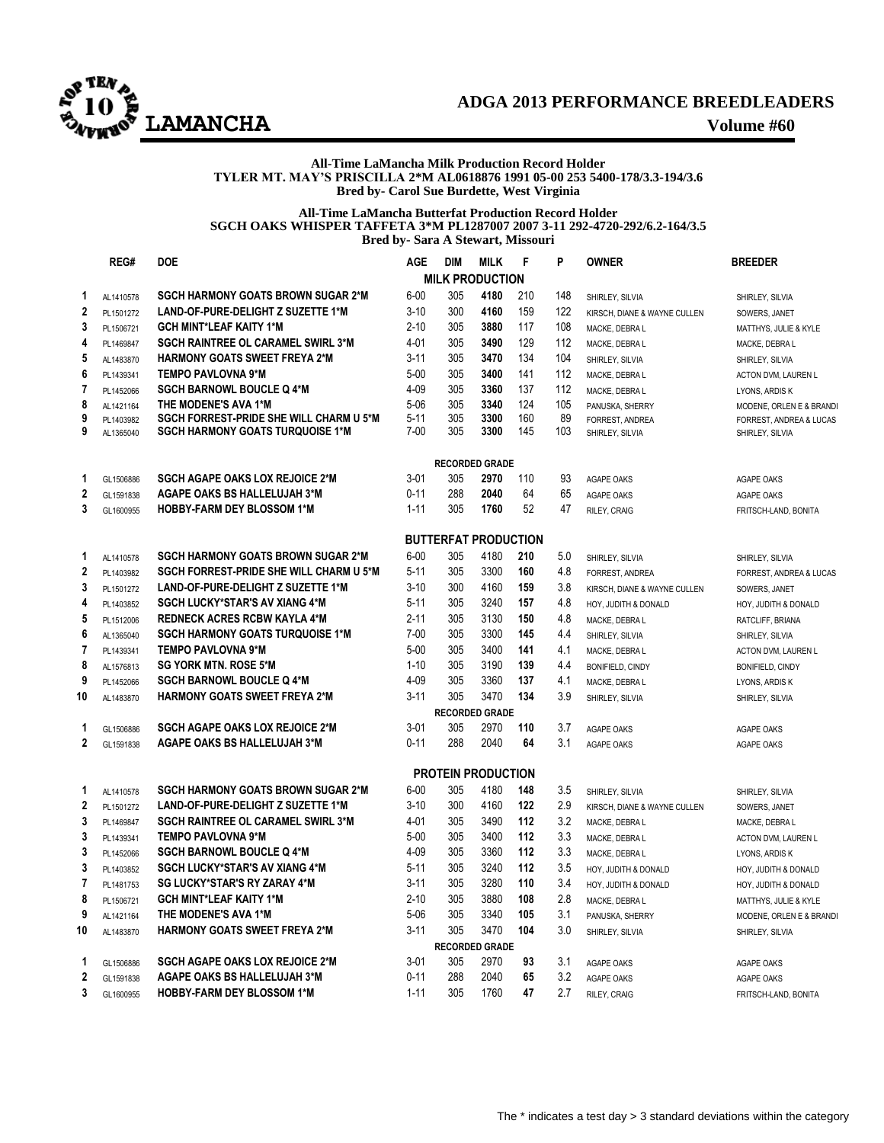

## **ADGA 2013 PERFORMANCE BREEDLEADERS LAMANCHA Volume #60**

#### **All-Time LaMancha Milk Production Record Holder TYLER MT. MAY'S PRISCILLA 2\*M AL0618876 1991 05-00 253 5400-178/3.3-194/3.6 Bred by- Carol Sue Burdette, West Virginia**

#### **All-Time LaMancha Butterfat Production Record Holder SGCH OAKS WHISPER TAFFETA 3\*M PL1287007 2007 3-11 292-4720-292/6.2-164/3.5 Bred by- Sara A Stewart, Missouri**

|                         | REG#      | <b>DOE</b>                                     | <b>AGE</b>           | <b>DIM</b>                  | <b>MILK</b>  | F          | P          | <b>OWNER</b>                                    | <b>BREEDER</b>                           |
|-------------------------|-----------|------------------------------------------------|----------------------|-----------------------------|--------------|------------|------------|-------------------------------------------------|------------------------------------------|
|                         |           |                                                |                      | <b>MILK PRODUCTION</b>      |              |            |            |                                                 |                                          |
| 1                       | AL1410578 | <b>SGCH HARMONY GOATS BROWN SUGAR 2*M</b>      | $6 - 00$             | 305                         | 4180         | 210        | 148        | SHIRLEY, SILVIA                                 | SHIRLEY, SILVIA                          |
| $\mathbf 2$             | PL1501272 | <b>LAND-OF-PURE-DELIGHT Z SUZETTE 1*M</b>      | $3 - 10$             | 300                         | 4160         | 159        | 122        | KIRSCH, DIANE & WAYNE CULLEN                    | SOWERS, JANET                            |
| 3                       | PL1506721 | <b>GCH MINT*LEAF KAITY 1*M</b>                 | $2 - 10$             | 305                         | 3880         | 117        | 108        | MACKE, DEBRA L                                  | MATTHYS, JULIE & KYLE                    |
| 4                       | PL1469847 | <b>SGCH RAINTREE OL CARAMEL SWIRL 3*M</b>      | 4-01                 | 305                         | 3490         | 129        | 112        | MACKE, DEBRA L                                  | MACKE, DEBRA L                           |
| 5                       | AL1483870 | <b>HARMONY GOATS SWEET FREYA 2*M</b>           | $3 - 11$             | 305                         | 3470         | 134        | 104        | SHIRLEY, SILVIA                                 | SHIRLEY, SILVIA                          |
| 6                       | PL1439341 | <b>TEMPO PAVLOVNA 9*M</b>                      | $5 - 00$             | 305                         | 3400         | 141        | 112        | MACKE, DEBRA L                                  | ACTON DVM, LAUREN L                      |
| 7                       | PL1452066 | <b>SGCH BARNOWL BOUCLE Q 4*M</b>               | 4-09                 | 305                         | 3360         | 137        | 112        | MACKE, DEBRA L                                  | LYONS, ARDIS K                           |
| 8                       | AL1421164 | THE MODENE'S AVA 1*M                           | $5 - 06$             | 305                         | 3340         | 124        | 105        | PANUSKA, SHERRY                                 | MODENE, ORLEN E & BRANDI                 |
| 9                       | PL1403982 | <b>SGCH FORREST-PRIDE SHE WILL CHARM U 5*M</b> | $5 - 11$             | 305                         | 3300         | 160        | 89         | FORREST, ANDREA                                 | FORREST, ANDREA & LUCAS                  |
| 9                       | AL1365040 | <b>SGCH HARMONY GOATS TURQUOISE 1*M</b>        | $7 - 00$             | 305                         | 3300         | 145        | 103        | SHIRLEY, SILVIA                                 | SHIRLEY, SILVIA                          |
|                         |           |                                                |                      | <b>RECORDED GRADE</b>       |              |            |            |                                                 |                                          |
| 1                       | GL1506886 | <b>SGCH AGAPE OAKS LOX REJOICE 2*M</b>         | $3 - 01$             | 305                         | 2970         | 110        | 93         | <b>AGAPE OAKS</b>                               | AGAPE OAKS                               |
| $\overline{\mathbf{2}}$ | GL1591838 | <b>AGAPE OAKS BS HALLELUJAH 3*M</b>            | $0 - 11$             | 288                         | 2040         | 64         | 65         | AGAPE OAKS                                      | AGAPE OAKS                               |
| 3                       | GL1600955 | <b>HOBBY-FARM DEY BLOSSOM 1*M</b>              | $1 - 11$             | 305                         | 1760         | 52         | 47         | RILEY, CRAIG                                    | FRITSCH-LAND, BONITA                     |
|                         |           |                                                |                      | <b>BUTTERFAT PRODUCTION</b> |              |            |            |                                                 |                                          |
| 1                       | AL1410578 | <b>SGCH HARMONY GOATS BROWN SUGAR 2*M</b>      | $6 - 00$             | 305                         | 4180         | 210        | 5.0        |                                                 |                                          |
| $\mathbf 2$             | PL1403982 | <b>SGCH FORREST-PRIDE SHE WILL CHARM U 5*M</b> | $5 - 11$             | 305                         | 3300         | 160        | 4.8        | SHIRLEY, SILVIA                                 | SHIRLEY, SILVIA                          |
| 3                       | PL1501272 | <b>LAND-OF-PURE-DELIGHT Z SUZETTE 1*M</b>      | $3 - 10$             | 300                         | 4160         | 159        | 3.8        | FORREST, ANDREA<br>KIRSCH, DIANE & WAYNE CULLEN | FORREST, ANDREA & LUCAS<br>SOWERS, JANET |
| 4                       | PL1403852 | <b>SGCH LUCKY*STAR'S AV XIANG 4*M</b>          | $5 - 11$             | 305                         | 3240         | 157        | 4.8        | HOY, JUDITH & DONALD                            | HOY, JUDITH & DONALD                     |
| 5                       | PL1512006 | <b>REDNECK ACRES RCBW KAYLA 4*M</b>            | $2 - 11$             | 305                         | 3130         | 150        | 4.8        | MACKE, DEBRA L                                  |                                          |
| 6                       | AL1365040 | <b>SGCH HARMONY GOATS TURQUOISE 1*M</b>        | $7 - 00$             | 305                         | 3300         | 145        | 4.4        | SHIRLEY, SILVIA                                 | RATCLIFF, BRIANA                         |
| 7                       | PL1439341 | <b>TEMPO PAVLOVNA 9*M</b>                      | $5 - 00$             | 305                         | 3400         | 141        | 4.1        | MACKE, DEBRA L                                  | SHIRLEY, SILVIA<br>ACTON DVM, LAUREN L   |
| 8                       | AL1576813 | <b>SG YORK MTN. ROSE 5*M</b>                   | $1 - 10$             | 305                         | 3190         | 139        | 4.4        | <b>BONIFIELD, CINDY</b>                         | <b>BONIFIELD, CINDY</b>                  |
| 9                       | PL1452066 | <b>SGCH BARNOWL BOUCLE Q 4*M</b>               | $4 - 09$             | 305                         | 3360         | 137        | 4.1        | MACKE, DEBRA L                                  | LYONS, ARDIS K                           |
| 10                      | AL1483870 | <b>HARMONY GOATS SWEET FREYA 2*M</b>           | $3 - 11$             | 305                         | 3470         | 134        | 3.9        | SHIRLEY, SILVIA                                 | SHIRLEY, SILVIA                          |
|                         |           |                                                |                      | <b>RECORDED GRADE</b>       |              |            |            |                                                 |                                          |
| 1                       | GL1506886 | <b>SGCH AGAPE OAKS LOX REJOICE 2*M</b>         | $3 - 01$             | 305                         | 2970         | 110        | 3.7        | AGAPE OAKS                                      | AGAPE OAKS                               |
| $\mathbf 2$             | GL1591838 | <b>AGAPE OAKS BS HALLELUJAH 3*M</b>            | $0 - 11$             | 288                         | 2040         | 64         | 3.1        | AGAPE OAKS                                      | AGAPE OAKS                               |
|                         |           |                                                |                      |                             |              |            |            |                                                 |                                          |
|                         |           |                                                |                      | <b>PROTEIN PRODUCTION</b>   |              |            |            |                                                 |                                          |
| 1                       | AL1410578 | <b>SGCH HARMONY GOATS BROWN SUGAR 2*M</b>      | $6 - 00$             | 305                         | 4180         | 148        | 3.5        | SHIRLEY, SILVIA                                 | SHIRLEY, SILVIA                          |
| $\mathbf 2$             | PL1501272 | <b>LAND-OF-PURE-DELIGHT Z SUZETTE 1*M</b>      | $3 - 10$             | 300                         | 4160         | 122        | 2.9        | KIRSCH, DIANE & WAYNE CULLEN                    | SOWERS, JANET                            |
| 3                       | PL1469847 | <b>SGCH RAINTREE OL CARAMEL SWIRL 3*M</b>      | 4-01                 | 305                         | 3490         | 112        | 3.2        | MACKE, DEBRA L                                  | MACKE, DEBRA L                           |
| 3                       | PL1439341 | <b>TEMPO PAVLOVNA 9*M</b>                      | $5 - 00$             | 305                         | 3400         | 112        | 3.3        | MACKE, DEBRA L                                  | ACTON DVM, LAUREN L                      |
| 3                       | PL1452066 | <b>SGCH BARNOWL BOUCLE Q 4*M</b>               | $4 - 09$             | 305<br>305                  | 3360         | 112<br>112 | 3.3        | MACKE, DEBRA L                                  | LYONS, ARDIS K                           |
| 3                       | PL1403852 | <b>SGCH LUCKY*STAR'S AV XIANG 4*M</b>          | $5 - 11$             | 305                         | 3240         |            | 3.5        | HOY, JUDITH & DONALD                            | HOY, JUDITH & DONALD                     |
| $\overline{7}$          | PL1481753 | <b>SG LUCKY*STAR'S RY ZARAY 4*M</b>            | $3 - 11$<br>$2 - 10$ | 305                         | 3280<br>3880 | 110<br>108 | 3.4<br>2.8 | HOY, JUDITH & DONALD                            | HOY, JUDITH & DONALD                     |
| 8                       | PL1506721 | <b>GCH MINT*LEAF KAITY 1*M</b>                 |                      |                             |              |            |            | MACKE, DEBRA L                                  | MATTHYS, JULIE & KYLE                    |
| 9                       | AL1421164 | THE MODENE'S AVA 1*M                           | $5 - 06$<br>$3 - 11$ | 305<br>305                  | 3340<br>3470 | 105<br>104 | 3.1<br>3.0 | PANUSKA, SHERRY                                 | MODENE, ORLEN E & BRANDI                 |
| 10                      | AL1483870 | <b>HARMONY GOATS SWEET FREYA 2*M</b>           |                      | <b>RECORDED GRADE</b>       |              |            |            | SHIRLEY, SILVIA                                 | SHIRLEY, SILVIA                          |
| 1                       | GL1506886 | <b>SGCH AGAPE OAKS LOX REJOICE 2*M</b>         | $3 - 01$             | 305                         | 2970         | 93         | 3.1        | <b>AGAPE OAKS</b>                               | <b>AGAPE OAKS</b>                        |
| 2                       | GL1591838 | AGAPE OAKS BS HALLELUJAH 3*M                   | $0 - 11$             | 288                         | 2040         | 65         | 3.2        | <b>AGAPE OAKS</b>                               | <b>AGAPE OAKS</b>                        |
| 3                       | GL1600955 | <b>HOBBY-FARM DEY BLOSSOM 1*M</b>              | $1 - 11$             | 305                         | 1760         | 47         | 2.7        | RILEY, CRAIG                                    | FRITSCH-LAND, BONITA                     |
|                         |           |                                                |                      |                             |              |            |            |                                                 |                                          |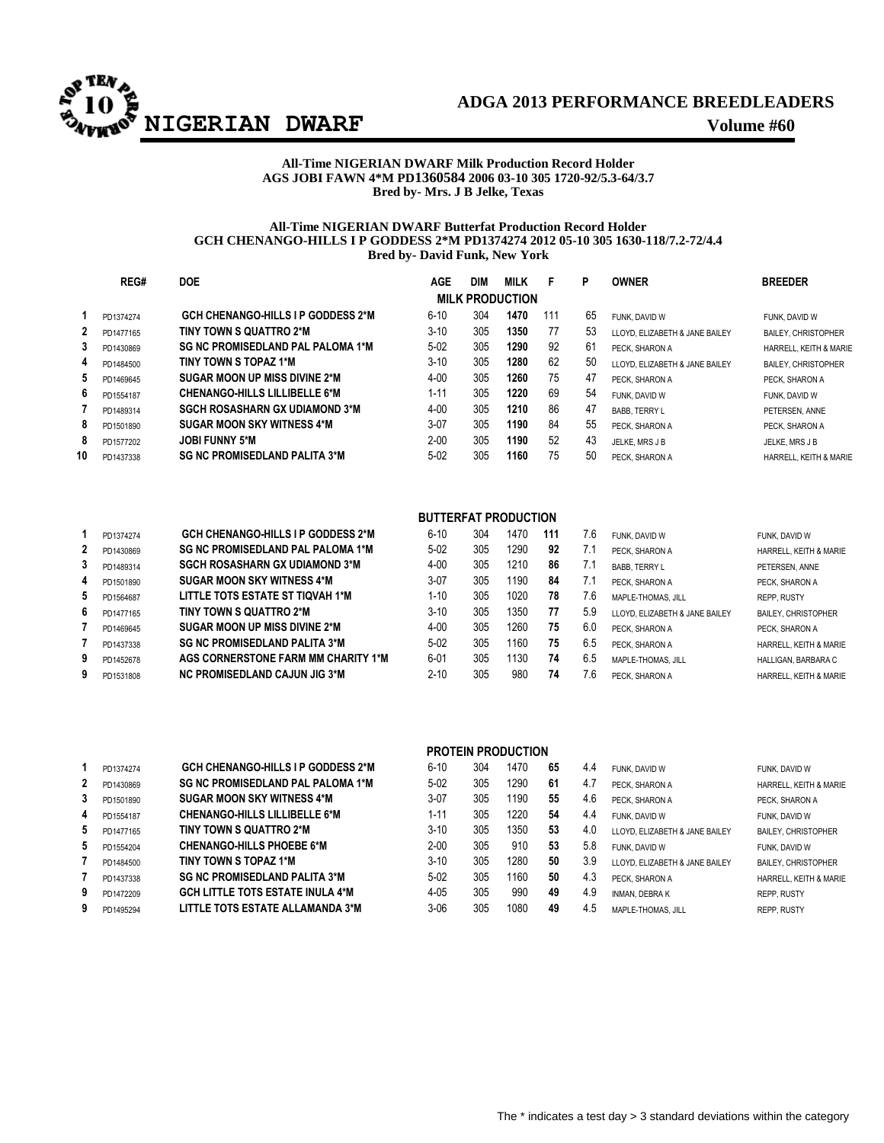

## **ADGA 2013 PERFORMANCE BREEDLEADERS**

#### **All-Time NIGERIAN DWARF Milk Production Record Holder AGS JOBI FAWN 4\*M PD1360584 2006 03-10 305 1720-92/5.3-64/3.7 Bred by- Mrs. J B Jelke, Texas**

#### **All-Time NIGERIAN DWARF Butterfat Production Record Holder GCH CHENANGO-HILLS I P GODDESS 2\*M PD1374274 2012 05-10 305 1630-118/7.2-72/4.4 Bred by- David Funk, New York**

|    | REG#      | <b>DOE</b>                                | <b>AGE</b> | <b>DIM</b> | <b>MILK</b>            | F   | P  | <b>OWNER</b>                   | <b>BREEDER</b>             |
|----|-----------|-------------------------------------------|------------|------------|------------------------|-----|----|--------------------------------|----------------------------|
|    |           |                                           |            |            | <b>MILK PRODUCTION</b> |     |    |                                |                            |
|    | PD1374274 | <b>GCH CHENANGO-HILLS I P GODDESS 2*M</b> | $6 - 10$   | 304        | 1470                   | 111 | 65 | FUNK, DAVID W                  | FUNK, DAVID W              |
| 2  | PD1477165 | TINY TOWN S QUATTRO 2*M                   | $3 - 10$   | 305        | 1350                   | 77  | 53 | LLOYD. ELIZABETH & JANE BAILEY | <b>BAILEY, CHRISTOPHER</b> |
| 3  | PD1430869 | <b>SG NC PROMISEDLAND PAL PALOMA 1*M</b>  | $5-02$     | 305        | 1290                   | 92  | 61 | PECK. SHARON A                 | HARRELL, KEITH & MARIE     |
| 4  | PD1484500 | TINY TOWN S TOPAZ 1*M                     | $3 - 10$   | 305        | 1280                   | 62  | 50 | LLOYD. ELIZABETH & JANE BAILEY | <b>BAILEY, CHRISTOPHER</b> |
| 5  | PD1469645 | SUGAR MOON UP MISS DIVINE 2*M             | $4 - 00$   | 305        | 1260                   | 75  | 47 | PECK. SHARON A                 | PECK. SHARON A             |
| 6  | PD1554187 | <b>CHENANGO-HILLS LILLIBELLE 6*M</b>      | $1 - 11$   | 305        | 1220                   | 69  | 54 | FUNK, DAVID W                  | FUNK, DAVID W              |
|    | PD1489314 | <b>SGCH ROSASHARN GX UDIAMOND 3*M</b>     | $4 - 00$   | 305        | 1210                   | 86  | 47 | <b>BABB, TERRY L</b>           | PETERSEN, ANNE             |
| 8  | PD1501890 | <b>SUGAR MOON SKY WITNESS 4*M</b>         | $3-07$     | 305        | 1190                   | 84  | 55 | PECK. SHARON A                 | PECK. SHARON A             |
| 8  | PD1577202 | <b>JOBI FUNNY 5*M</b>                     | $2 - 00$   | 305        | 1190                   | 52  | 43 | JELKE, MRS J B                 | JELKE, MRS J B             |
| 10 | PD1437338 | <b>SG NC PROMISEDLAND PALITA 3*M</b>      | $5 - 02$   | 305        | 1160                   | 75  | 50 | PECK. SHARON A                 | HARRELL, KEITH & MARIE     |

| <b>CH CHENANGO-HILLS I P GODDESS 2*M</b> | 6-1     |
|------------------------------------------|---------|
| G NC PROMISEDLAND PAL PALOMA 1*M         | 5-0     |
| GCH ROSASHARN GX UDIAMOND 3*M            | 4-(     |
| UGAR MOON SKY WITNESS 4*M                | $3 - 6$ |
| TTLE TOTS ESTATE ST TIQVAH 1*M           | $1 - 1$ |

|                |           | <b>BUTTERFAT PRODUCTION</b>               |          |     |      |     |     |                                |                            |  |  |  |
|----------------|-----------|-------------------------------------------|----------|-----|------|-----|-----|--------------------------------|----------------------------|--|--|--|
|                | PD1374274 | <b>GCH CHENANGO-HILLS I P GODDESS 2*M</b> | $6 - 10$ | 304 | 1470 | 111 | 7.6 | FUNK. DAVID W                  | FUNK, DAVID W              |  |  |  |
| $\overline{2}$ | PD1430869 | <b>SG NC PROMISEDLAND PAL PALOMA 1*M</b>  | $5-02$   | 305 | 1290 | 92  |     | PECK. SHARON A                 | HARRELL, KEITH & MARIE     |  |  |  |
| 3              | PD1489314 | <b>SGCH ROSASHARN GX UDIAMOND 3*M</b>     | $4 - 00$ | 305 | 1210 | 86  |     | <b>BABB. TERRY L</b>           | PETERSEN, ANNE             |  |  |  |
| 4              | PD1501890 | SUGAR MOON SKY WITNESS 4*M                | $3-07$   | 305 | 1190 | 84  | 7.1 | PECK. SHARON A                 | PECK. SHARON A             |  |  |  |
| 5              | PD1564687 | LITTLE TOTS ESTATE ST TIQVAH 1*M          | $1 - 10$ | 305 | 1020 | 78  | 7.6 | MAPLE-THOMAS, JILL             | <b>REPP. RUSTY</b>         |  |  |  |
| 6              | PD1477165 | TINY TOWN S QUATTRO 2*M                   | $3 - 10$ | 305 | 1350 | 77  | 5.9 | LLOYD. ELIZABETH & JANE BAILEY | <b>BAILEY, CHRISTOPHER</b> |  |  |  |
|                | PD1469645 | SUGAR MOON UP MISS DIVINE 2*M             | $4 - 00$ | 305 | 1260 | 75  | 6.0 | PECK. SHARON A                 | PECK. SHARON A             |  |  |  |
|                | PD1437338 | <b>SG NC PROMISEDLAND PALITA 3*M</b>      | $5-02$   | 305 | 1160 | 75  | 6.5 | PECK. SHARON A                 | HARRELL, KEITH & MARIE     |  |  |  |
| 9              | PD1452678 | AGS CORNERSTONE FARM MM CHARITY 1*M       | $6 - 01$ | 305 | 1130 | 74  | 6.5 | MAPLE-THOMAS, JILL             | HALLIGAN, BARBARA C        |  |  |  |

|              |           |                                           |          |     | <b>PROTEIN PRODUCTION</b> |    |     |                                |                            |
|--------------|-----------|-------------------------------------------|----------|-----|---------------------------|----|-----|--------------------------------|----------------------------|
|              | PD1374274 | <b>GCH CHENANGO-HILLS I P GODDESS 2*M</b> | $6 - 10$ | 304 | 1470                      | 65 | 4.4 | FUNK, DAVID W                  | FUNK, DAVID W              |
| $\mathbf{2}$ | PD1430869 | <b>SG NC PROMISEDLAND PAL PALOMA 1*M</b>  | $5 - 02$ | 305 | 1290                      | 61 | 4.7 | PECK. SHARON A                 | HARRELL, KEITH & MARIE     |
| 3            | PD1501890 | <b>SUGAR MOON SKY WITNESS 4*M</b>         | $3-07$   | 305 | 1190                      | 55 | 4.6 | PECK. SHARON A                 | PECK. SHARON A             |
| 4            | PD1554187 | <b>CHENANGO-HILLS LILLIBELLE 6*M</b>      | $1 - 11$ | 305 | 1220                      | 54 | 4.4 | FUNK. DAVID W                  | FUNK, DAVID W              |
| 5            | PD1477165 | TINY TOWN S QUATTRO 2*M                   | $3-10$   | 305 | 1350                      | 53 | 4.0 | LLOYD. ELIZABETH & JANE BAILEY | <b>BAILEY, CHRISTOPHER</b> |
| 5            | PD1554204 | <b>CHENANGO-HILLS PHOEBE 6*M</b>          | $2 - 00$ | 305 | 910                       | 53 | 5.8 | FUNK. DAVID W                  | FUNK, DAVID W              |
|              | PD1484500 | TINY TOWN S TOPAZ 1*M                     | $3-10$   | 305 | 1280                      | 50 | 3.9 | LLOYD. ELIZABETH & JANE BAILEY | <b>BAILEY, CHRISTOPHER</b> |
|              | PD1437338 | <b>SG NC PROMISEDLAND PALITA 3*M</b>      | $5 - 02$ | 305 | 1160                      | 50 | 4.3 | PECK. SHARON A                 | HARRELL, KEITH & MARIE     |
| 9            | PD1472209 | <b>GCH LITTLE TOTS ESTATE INULA 4*M</b>   | $4 - 05$ | 305 | 990                       | 49 | 4.9 | <b>INMAN, DEBRAK</b>           | <b>REPP. RUSTY</b>         |
| 9            | PD1495294 | LITTLE TOTS ESTATE ALLAMANDA 3*M          | $3 - 06$ | 305 | 1080                      | 49 | 4.5 | MAPLE-THOMAS, JILL             | <b>REPP. RUSTY</b>         |

PD1531808 **NC PROMISEDLAND CAJUN JIG 3\*M** 2-10 305 980 **74** 7.6 PECK, SHARON A HARRELL, KEITH & MARIE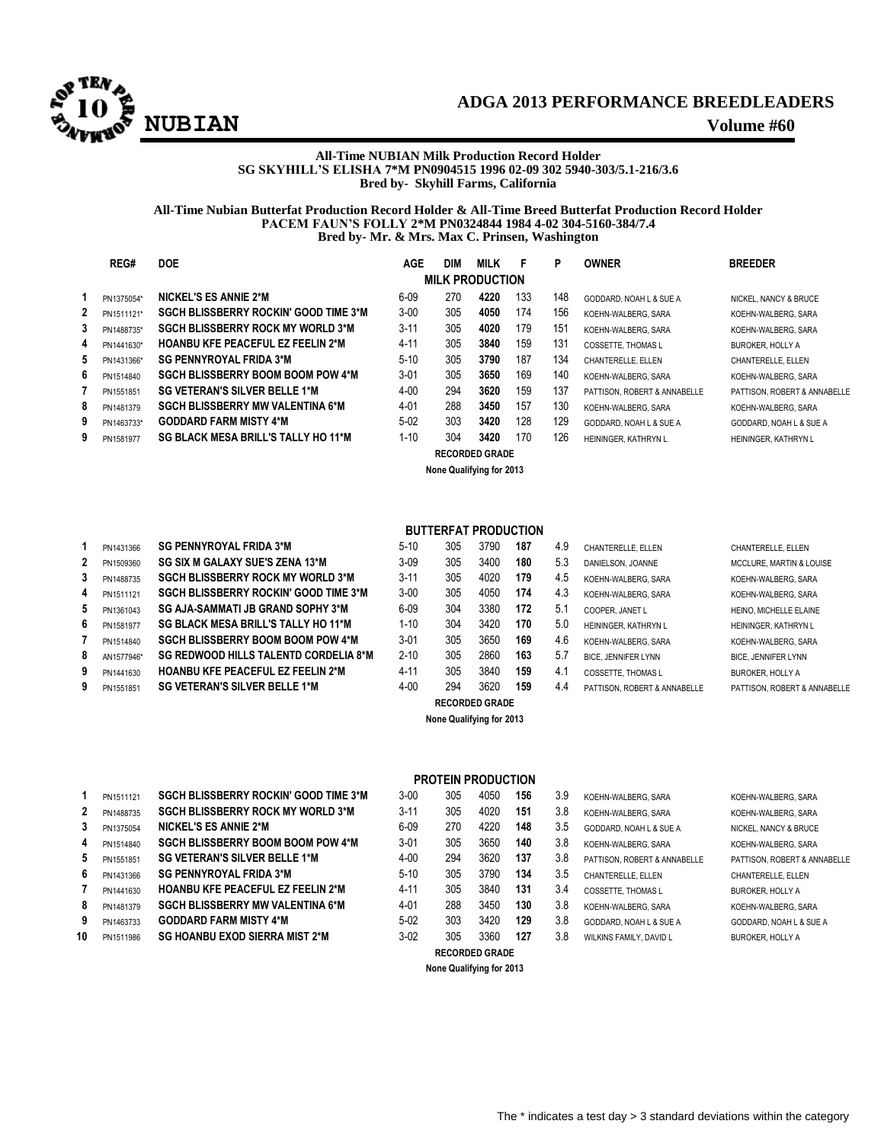

## **ADGA 2013 PERFORMANCE BREEDLEADERS EXECUTERIZATION**<br> **EXECUTERIZATION**<br> **Volume #60**

#### **All-Time NUBIAN Milk Production Record Holder SG SKYHILL'S ELISHA 7\*M PN0904515 1996 02-09 302 5940-303/5.1-216/3.6 Bred by- Skyhill Farms, California**

#### **All-Time Nubian Butterfat Production Record Holder & All-Time Breed Butterfat Production Record Holder PACEM FAUN'S FOLLY 2\*M PN0324844 1984 4-02 304-5160-384/7.4 Bred by- Mr. & Mrs. Max C. Prinsen, Washington**

|    | REG#       | <b>DOE</b>                                   | <b>AGE</b> | <b>DIM</b> | MILK                  | F   | P   | <b>OWNER</b>                 | <b>BREEDER</b>               |  |
|----|------------|----------------------------------------------|------------|------------|-----------------------|-----|-----|------------------------------|------------------------------|--|
|    |            | <b>MILK PRODUCTION</b>                       |            |            |                       |     |     |                              |                              |  |
|    | PN1375054* | <b>NICKEL'S ES ANNIE 2*M</b>                 | $6 - 09$   | 270        | 4220                  | 133 | 148 | GODDARD, NOAH L & SUE A      | NICKEL, NANCY & BRUCE        |  |
|    | PN1511121* | <b>SGCH BLISSBERRY ROCKIN' GOOD TIME 3*M</b> | $3 - 00$   | 305        | 4050                  | 174 | 156 | KOEHN-WALBERG, SARA          | KOEHN-WALBERG, SARA          |  |
| 3  | PN1488735* | <b>SGCH BLISSBERRY ROCK MY WORLD 3*M</b>     | $3 - 11$   | 305        | 4020                  | 179 | 151 | KOEHN-WALBERG, SARA          | KOEHN-WALBERG, SARA          |  |
| 4  | PN1441630* | <b>HOANBU KFE PEACEFUL EZ FEELIN 2*M</b>     | 4-11       | 305        | 3840                  | 159 | 131 | <b>COSSETTE. THOMAS L</b>    | <b>BUROKER, HOLLY A</b>      |  |
| 5. | PN1431366* | <b>SG PENNYROYAL FRIDA 3*M</b>               | $5-10$     | 305        | 3790                  | 187 | 134 | CHANTERELLE, ELLEN           | CHANTERELLE, ELLEN           |  |
| 6. | PN1514840  | <b>SGCH BLISSBERRY BOOM BOOM POW 4*M</b>     | $3-01$     | 305        | 3650                  | 169 | 140 | KOEHN-WALBERG, SARA          | KOEHN-WALBERG, SARA          |  |
|    | PN1551851  | <b>SG VETERAN'S SILVER BELLE 1*M</b>         | $4 - 00$   | 294        | 3620                  | 159 | 137 | PATTISON, ROBERT & ANNABELLE | PATTISON, ROBERT & ANNABELLE |  |
| 8  | PN1481379  | <b>SGCH BLISSBERRY MW VALENTINA 6*M</b>      | 4-01       | 288        | 3450                  | 157 | 130 | KOEHN-WALBERG, SARA          | KOEHN-WALBERG, SARA          |  |
| 9  | PN1463733* | <b>GODDARD FARM MISTY 4*M</b>                | $5 - 02$   | 303        | 3420                  | 128 | 129 | GODDARD, NOAH L & SUE A      | GODDARD, NOAH L & SUE A      |  |
| 9  | PN1581977  | SG BLACK MESA BRILL'S TALLY HO 11*M          | $1 - 10$   | 304        | 3420                  | 170 | 126 | HEININGER, KATHRYN L         | HEININGER, KATHRYN L         |  |
|    |            |                                              |            |            | <b>RECORDED GRADE</b> |     |     |                              |                              |  |

**None Qualifying for 2013**

| 1 | PN1431366         | <b>SG PENNYROYAL FRIDA 3*M</b>               |
|---|-------------------|----------------------------------------------|
| 2 | PN1509360         | <b>SG SIX M GALAXY SUE'S ZENA 13*M</b>       |
| 3 | PN1488735         | <b>SGCH BLISSBERRY ROCK MY WORLD 3*M</b>     |
| 4 | PN1511121         | <b>SGCH BLISSBERRY ROCKIN' GOOD TIME 3*M</b> |
| 5 | PN1361043         | SG AJA-SAMMATI JB GRAND SOPHY 3*M            |
| 6 | PN1581977         | <b>SG BLACK MESA BRILL'S TALLY HO 11*M</b>   |
| 7 | PN1514840         | <b>SGCH BLISSBERRY BOOM BOOM POW 4*M</b>     |
| 8 | AN1577946*        | <b>SG REDWOOD HILLS TALENTD CORDELIA 8*1</b> |
| 9 | PN1441630         | <b>HOANBU KFE PEACEFUL EZ FEELIN 2*M</b>     |
| ٥ | <b>DM14EE10E1</b> | SC VETERAN'S SILVER RELLE 1*M                |

#### **BUTTERFAT PRODUCTION**

|   | PN1431366  | <b>SG PENNYROYAL FRIDA 3*M</b>               | $5 - 10$ | 305 | 3790             | 187 | 4.9 | CHANTERELLE, ELLEN           | CHANTERELLE, ELLEN                  |
|---|------------|----------------------------------------------|----------|-----|------------------|-----|-----|------------------------------|-------------------------------------|
|   | PN1509360  | SG SIX M GALAXY SUE'S ZENA 13*M              | $3-09$   | 305 | 3400             | 180 | 5.3 | DANIELSON, JOANNE            | <b>MCCLURE, MARTIN &amp; LOUISE</b> |
|   | PN1488735  | <b>SGCH BLISSBERRY ROCK MY WORLD 3*M</b>     | $3 - 11$ | 305 | 4020             | 179 | 4.5 | KOEHN-WALBERG, SARA          | KOEHN-WALBERG, SARA                 |
| 4 | PN1511121  | SGCH BLISSBERRY ROCKIN' GOOD TIME 3*M        | $3 - 00$ | 305 | 4050             | 174 | 4.3 | KOEHN-WALBERG, SARA          | KOEHN-WALBERG, SARA                 |
|   | PN1361043  | SG AJA-SAMMATI JB GRAND SOPHY 3*M            | $6 - 09$ | 304 | 3380             | 172 | 5.1 | COOPER. JANET L              | HEINO. MICHELLE ELAINE              |
| 6 | PN1581977  | SG BLACK MESA BRILL'S TALLY HO 11*M          | 1-10     | 304 | 3420             | 170 | 5.0 | HEININGER, KATHRYN L         | HEININGER, KATHRYN L                |
|   | PN1514840  | <b>SGCH BLISSBERRY BOOM BOOM POW 4*M</b>     | $3 - 01$ | 305 | 3650             | 169 | 4.6 | KOEHN-WALBERG, SARA          | KOEHN-WALBERG, SARA                 |
|   | AN1577946* | <b>SG REDWOOD HILLS TALENTD CORDELIA 8*M</b> | $2 - 10$ | 305 | 2860             | 163 | 5.7 | <b>BICE, JENNIFER LYNN</b>   | <b>BICE, JENNIFER LYNN</b>          |
|   | PN1441630  | <b>HOANBU KFE PEACEFUL EZ FEELIN 2*M</b>     | $4 - 11$ | 305 | 3840             | 159 | 4.1 | <b>COSSETTE. THOMAS L</b>    | <b>BUROKER, HOLLY A</b>             |
|   | PN1551851  | <b>SG VETERAN'S SILVER BELLE 1*M</b>         | $4 - 00$ | 294 | 3620             | 159 | 4.4 | PATTISON, ROBERT & ANNABELLE | PATTISON, ROBERT & ANNABELLE        |
|   |            |                                              |          |     | --------- -- .-- |     |     |                              |                                     |

**RECORDED GRADE**

**None Qualifying for 2013**

#### **PROTEIN PRODUCTION**

|   |           |                                              |          |     | <b>RECORDED GRADE</b> |     |     |                              |                         |
|---|-----------|----------------------------------------------|----------|-----|-----------------------|-----|-----|------------------------------|-------------------------|
| 0 | PN1511986 | SG HOANBU EXOD SIERRA MIST 2*M               | $3-02$   | 305 | 3360                  | 127 | 3.8 | WILKINS FAMILY, DAVID L      | <b>BUROKER, HOLLY A</b> |
| 9 | PN1463733 | <b>GODDARD FARM MISTY 4*M</b>                | $5-02$   | 303 | 3420                  | 129 | 3.8 | GODDARD, NOAH L & SUE A      | GODDARD, NOAH L & SUI   |
| 8 | PN1481379 | <b>SGCH BLISSBERRY MW VALENTINA 6*M</b>      | $4 - 01$ | 288 | 3450                  | 130 | 3.8 | KOEHN-WALBERG, SARA          | KOEHN-WALBERG, SARA     |
|   | PN1441630 | <b>HOANBU KFE PEACEFUL EZ FEELIN 2*M</b>     | $4 - 11$ | 305 | 3840                  | 131 | 3.4 | <b>COSSETTE. THOMAS L</b>    | BUROKER, HOLLY A        |
| 6 | PN1431366 | <b>SG PENNYROYAL FRIDA 3*M</b>               | $5-10$   | 305 | 3790                  | 134 | 3.5 | CHANTERELLE, ELLEN           | CHANTERELLE, ELLEN      |
| 5 | PN1551851 | <b>SG VETERAN'S SILVER BELLE 1*M</b>         | $4 - 00$ | 294 | 3620                  | 137 | 3.8 | PATTISON, ROBERT & ANNABELLE | PATTISON, ROBERT & AN   |
| 4 | PN1514840 | <b>SGCH BLISSBERRY BOOM BOOM POW 4*M</b>     | $3 - 01$ | 305 | 3650                  | 140 | 3.8 | KOEHN-WALBERG, SARA          | KOEHN-WALBERG, SARA     |
| 3 | PN1375054 | <b>NICKEL'S ES ANNIE 2*M</b>                 | $6 - 09$ | 270 | 4220                  | 148 | 3.5 | GODDARD, NOAH L & SUE A      | NICKEL, NANCY & BRUCE   |
| 2 | PN1488735 | <b>SGCH BLISSBERRY ROCK MY WORLD 3*M</b>     | $3 - 11$ | 305 | 4020                  | 151 | 3.8 | KOEHN-WALBERG, SARA          | KOEHN-WALBERG, SARA     |
|   | PN1511121 | <b>SGCH BLISSBERRY ROCKIN' GOOD TIME 3*M</b> | $3 - 00$ | 305 | 4050                  | 156 | 3.9 | KOEHN-WALBERG, SARA          | KOEHN-WALBERG, SARA     |

**None Qualifying for 2013**

 $3.8$  KOEHN-WALBERG, SARA **KOEHN-WALBERG, SARA** 3.5 GODDARD, NOAH L & SUE A NICKEL, NANCY & BRUCE **4** PN1514840 **SGCH BLISSBERRY BOOM BOOM POW 4\*M** 3-01 305 3650 **140** 3.8 KOEHN-WALBERG, SARA KOEHN-WALBERG, SARA **3.8 PATTISON, ROBERT & ANNABELLE PATTISON, ROBERT & ANNABELLE** 8.5 CHANTERELLE, ELLEN **CHANTERELLE, ELLEN 7** PURIFICANT BUROKER, HOLLY A **BUROKER**, HOLLY A 8.8 **KOEHN-WALBERG, SARA KOEHN-WALBERG, SARA 9 B** PN14638 GODDARD, NOAH L & SUE A GODDARD, NOAH L & SUE A

| 2                    | PN1488735 | <b>SGCH BLISSBERRY ROCK MY WORLD 3*M</b> |
|----------------------|-----------|------------------------------------------|
|                      |           |                                          |
| 3                    | PN1375054 | <b>NICKEL'S ES ANNIE 2*M</b>             |
| 4                    | PN1514840 | <b>SGCH BLISSBERRY BOOM BOOM POW 4*M</b> |
| 5                    | PN1551851 | <b>SG VETERAN'S SILVER BELLE 1*M</b>     |
| 6                    | PN1431366 | <b>SG PENNYROYAL FRIDA 3*M</b>           |
| 7                    | PN1441630 | <b>HOANBU KFE PEACEFUL EZ FEELIN 2*M</b> |
| 8                    | PN1481379 | <b>SGCH BLISSBERRY MW VALENTINA 6*M</b>  |
| 9                    | PN1463733 | <b>GODDARD FARM MISTY 4*M</b>            |
| $\ddot{\phantom{a}}$ |           | <b>COUCANDU EVOR OFFICA MICT CHA</b>     |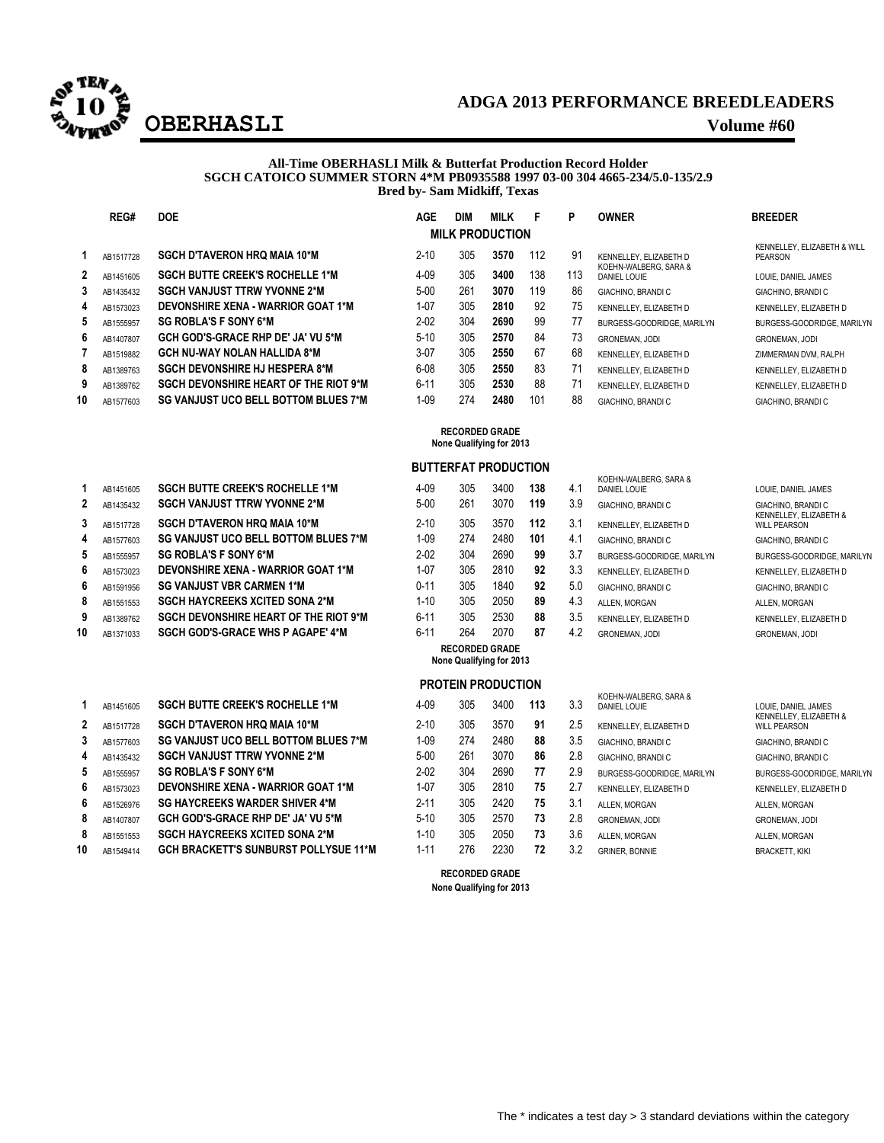

## **ADGA 2013 PERFORMANCE BREEDLEADERS OBERHASLI Volume #60**

#### **All-Time OBERHASLI Milk & Butterfat Production Record Holder SGCH CATOICO SUMMER STORN 4\*M PB0935588 1997 03-00 304 4665-234/5.0-135/2.9 Bred by- Sam Midkiff, Texas**

|              | REG#      | <b>DOE</b>                                   | <b>AGE</b> | <b>DIM</b> | <b>MILK</b>            | F   | P   | <b>OWNER</b>                          | <b>BREEDER</b>                         |
|--------------|-----------|----------------------------------------------|------------|------------|------------------------|-----|-----|---------------------------------------|----------------------------------------|
|              |           |                                              |            |            | <b>MILK PRODUCTION</b> |     |     |                                       |                                        |
|              | AB1517728 | <b>SGCH D'TAVERON HRQ MAIA 10*M</b>          | $2 - 10$   | 305        | 3570                   | 112 | 91  | KENNELLEY, ELIZABETH D                | KENNELLEY. ELIZABETH & WILL<br>PEARSON |
| $\mathbf{2}$ | AB1451605 | <b>SGCH BUTTE CREEK'S ROCHELLE 1*M</b>       | $4 - 09$   | 305        | 3400                   | 138 | 113 | KOEHN-WALBERG, SARA &<br>DANIEL LOUIE | LOUIE. DANIEL JAMES                    |
| 3            | AB1435432 | <b>SGCH VANJUST TTRW YVONNE 2*M</b>          | $5-00$     | 261        | 3070                   | 119 | 86  | <b>GIACHINO, BRANDIC</b>              | GIACHINO, BRANDI C                     |
| 4            | AB1573023 | <b>DEVONSHIRE XENA - WARRIOR GOAT 1*M</b>    | $1 - 07$   | 305        | 2810                   | 92  | 75  | KENNELLEY, ELIZABETH D                | KENNELLEY, ELIZABETH D                 |
| 5            | AB1555957 | <b>SG ROBLA'S F SONY 6*M</b>                 | $2 - 02$   | 304        | 2690                   | 99  | 77  | BURGESS-GOODRIDGE, MARILYN            | BURGESS-GOODRIDGE, MARILYN             |
| 6            | AB1407807 | <b>GCH GOD'S-GRACE RHP DE' JA' VU 5*M</b>    | $5-10$     | 305        | 2570                   | 84  | 73  | <b>GRONEMAN, JODI</b>                 | <b>GRONEMAN, JODI</b>                  |
|              | AB1519882 | <b>GCH NU-WAY NOLAN HALLIDA 8*M</b>          | $3-07$     | 305        | 2550                   | 67  | 68  | KENNELLEY, ELIZABETH D                | ZIMMERMAN DVM, RALPH                   |
| 8            | AB1389763 | <b>SGCH DEVONSHIRE HJ HESPERA 8*M</b>        | $6-08$     | 305        | 2550                   | 83  | 71  | KENNELLEY, ELIZABETH D                | KENNELLEY, ELIZABETH D                 |
| 9            | AB1389762 | <b>SGCH DEVONSHIRE HEART OF THE RIOT 9*M</b> | $6 - 11$   | 305        | 2530                   | 88  | 71  | KENNELLEY, ELIZABETH D                | KENNELLEY, ELIZABETH D                 |
| 10           | AB1577603 | SG VANJUST UCO BELL BOTTOM BLUES 7*M         | $1 - 09$   | 274        | 2480                   | 101 | 88  | GIACHINO, BRANDI C                    | GIACHINO, BRANDI C                     |

#### **RECORDED GRADE None Qualifying for 2013**

#### **BUTTERFAT PRODUCTION**

|              | AB1451605                                                                                                                                                                                                                                                                                                                                                 | <b>SGCH BUTTE CREEK'S ROCHELLE 1*M</b>      | $4 - 09$  | 305  | 3400  | 138    | 4.1           | <b>DANIEL LOUIE</b>        | LOUIE, DANIEL JAME                               |
|--------------|-----------------------------------------------------------------------------------------------------------------------------------------------------------------------------------------------------------------------------------------------------------------------------------------------------------------------------------------------------------|---------------------------------------------|-----------|------|-------|--------|---------------|----------------------------|--------------------------------------------------|
| $\mathbf{2}$ | AB1435432                                                                                                                                                                                                                                                                                                                                                 | <b>SGCH VANJUST TTRW YVONNE 2*M</b>         | $5 - 00$  | 261  | 3070  | 119    | 3.9           | GIACHINO, BRANDI C         | GIACHINO, BRANDI C                               |
| 3            | AB1517728                                                                                                                                                                                                                                                                                                                                                 | <b>SGCH D'TAVERON HRQ MAIA 10*M</b>         | $2 - 10$  | 305  | 3570  | 112    | 3.1           | KENNELLEY, ELIZABETH D     | <b>KENNELLEY, ELIZABI</b><br><b>WILL PEARSON</b> |
| 4            | AB1577603                                                                                                                                                                                                                                                                                                                                                 | SG VANJUST UCO BELL BOTTOM BLUES 7*M        | 1-09      | 274  | 2480  | 101    | 4.1           | GIACHINO, BRANDI C         | GIACHINO, BRANDI C                               |
| 5            | AB1555957                                                                                                                                                                                                                                                                                                                                                 | <b>SG ROBLA'S F SONY 6*M</b>                | $2 - 02$  | 304  | 2690  | 99     | 3.7           | BURGESS-GOODRIDGE, MARILYN | BURGESS-GOODRID                                  |
| 6            | AB1573023                                                                                                                                                                                                                                                                                                                                                 | DEVONSHIRE XENA - WARRIOR GOAT 1*M          | 1-07      | 305  | 2810  | 92     | 3.3           | KENNELLEY, ELIZABETH D     | <b>KENNELLEY, ELIZABI</b>                        |
| 6            | AB1591956                                                                                                                                                                                                                                                                                                                                                 | <b>SG VANJUST VBR CARMEN 1*M</b>            | $0 - 11$  | 305  | 1840  | 92     | 5.0           | GIACHINO, BRANDI C         | GIACHINO, BRANDI C                               |
| 8            | AB1551553                                                                                                                                                                                                                                                                                                                                                 | <b>SGCH HAYCREEKS XCITED SONA 2*M</b>       | 1-10      | 305  | 2050  | 89     | 4.3           | ALLEN, MORGAN              | ALLEN. MORGAN                                    |
|              | $\bullet$ and $\bullet$ and $\bullet$ and $\bullet$ and $\bullet$ and $\bullet$ and $\bullet$ and $\bullet$ and $\bullet$ and $\bullet$ and $\bullet$ and $\bullet$ and $\bullet$ and $\bullet$ and $\bullet$ and $\bullet$ and $\bullet$ and $\bullet$ and $\bullet$ and $\bullet$ and $\bullet$ and $\bullet$ and $\bullet$ and $\bullet$ and $\bullet$ | <b>COOLLAFUOUGHAF UFARE OF TUE DIGT ANA</b> | $\sim$ 44 | nne. | 0.000 | $\sim$ | $\sim$ $\sim$ |                            |                                                  |

|              |           |                                           |              |     | <b>INVIIC QUAILIVIIII</b> IVI ZUIJ |     |          |                                       |                                               |
|--------------|-----------|-------------------------------------------|--------------|-----|------------------------------------|-----|----------|---------------------------------------|-----------------------------------------------|
|              |           |                                           |              |     | <b>PROTEIN PRODUCTION</b>          |     |          |                                       |                                               |
|              | AB1451605 | <b>SGCH BUTTE CREEK'S ROCHELLE 1*M</b>    | $4 - 09$     | 305 | 3400                               | 113 | 3.3      | KOEHN-WALBERG, SARA &<br>DANIEL LOUIE | LOUIE, DANIEL JAMES                           |
| 2            | AB1517728 | <b>SGCH D'TAVERON HRO MAIA 10*M</b>       | $2 - 10$     | 305 | 3570                               | 91  | 2.5      | KENNELLEY, ELIZABETH D                | KENNELLEY, ELIZABETH &<br><b>WILL PEARSON</b> |
| 3            | AB1577603 | SG VANJUST UCO BELL BOTTOM BLUES 7*M      | $1 - 09$     | 274 | 2480                               | 88  | 3.5      | <b>GIACHINO, BRANDI C</b>             | GIACHINO, BRANDI C                            |
| 4            | AB1435432 | <b>SGCH VANJUST TTRW YVONNE 2*M</b>       | $5 - 00$     | 261 | 3070                               | 86  | 2.8      | <b>GIACHINO, BRANDI C</b>             | GIACHINO, BRANDI C                            |
| 5            | AB1555957 | <b>SG ROBLA'S F SONY 6*M</b>              | $2 - 02$     | 304 | 2690                               | 77  | 2.9      | BURGESS-GOODRIDGE, MARILYN            | BURGESS-GOODRIDGE, MARILYN                    |
| 6            | AB1573023 | <b>DEVONSHIRE XENA - WARRIOR GOAT 1*M</b> | $1 - 07$     | 305 | 2810                               | 75  |          | KENNELLEY, ELIZABETH D                | KENNELLEY, ELIZABETH D                        |
| 6            | AB1526976 | <b>SG HAYCREEKS WARDER SHIVER 4*M</b>     | $2 - 11$     | 305 | 2420                               | 75  | 3.1      | ALLEN. MORGAN                         | ALLEN. MORGAN                                 |
| $\mathbf{a}$ | .         | COU CODIC CRACE DURINEL IALULE CALL       | $F A \Omega$ | 20F | 0.770                              | 70  | <u>_</u> | .                                     | --------------                                |

- 8 AB1407807 **GCH GOD'S-GRACE RHP DE' JA' VU 5\*M 8** AB1551553 **SGCH HAYCREEKS XCITED SONA 2\*M**
- **10 AB1549414 GCH BRACKETT'S SUNBURST POLLYSUE 11\*M**

# **3** AB1517728 **SGCH D'TAVERON HRQ MAIA 10\*M** 2-10 305 3570 **112** 3.1 KENNELLEY, ELIZABETH D **10** AB1371033 **SGCH GOD'S-GRACE WHS P AGAPE' 4\*M** 6-11 264 2070 **87** 4.2 GRONEMAN, JODI GRONEMAN, JODI

#### **RECORDED GRADE None Qualifying for 2013**

#### **PROTEIN PRODUCTION**

| $4 - 09$ | 305 | 3400 | 113 | 3.3 | DANIEL LOUIE        |
|----------|-----|------|-----|-----|---------------------|
| $2 - 10$ | 305 | 3570 | 91  | 2.5 | KENNELLEY, E        |
| $1 - 09$ | 274 | 2480 | 88  | 3.5 | GIACHINO, BR        |
| $5-00$   | 261 | 3070 | 86  | 2.8 | GIACHINO, BR        |
| $2 - 02$ | 304 | 2690 | 77  | 2.9 | <b>BURGESS-GO</b>   |
| $1 - 07$ | 305 | 2810 | 75  | 2.7 | KENNELLEY, E        |
| $2 - 11$ | 305 | 2420 | 75  | 3.1 | ALLEN, MORG/        |
| $5 - 10$ | 305 | 2570 | 73  | 2.8 | <b>GRONEMAN, J</b>  |
| $1 - 10$ | 305 | 2050 | 73  | 3.6 | ALLEN, MORG/        |
| $1 - 11$ | 276 | 2230 | 72  | 3.2 | <b>GRINER, BONN</b> |
|          |     |      |     |     |                     |

#### KOEHN-WALBERG, SARA & LOUIE DANIEL JAMES KENNELLEY, ELIZABETH & WILL PEARSON **4** AB157760 **101 A** A CHACHINO, BRANDI C GIACHINO, BRANDI C GIACHINO, BRANDI C **5** AB1555957 **SG ROBLA'S F SONY 6\*M** 2-02 304 2690 **99** 3.7 BURGESS-GOODRIDGE, MARILYN BURGESS-GOODRIDGE, MARILYN **6** AB1573023 **DEVONSHIRE XENA - WARRIOR GOAT 1\*M** 1-07 305 2810 **92** 3.3 KENNELLEY, ELIZABETH D KENNELLEY, ELIZABETH D 0-11 305 1840 **92** 5.0 GIACHINO, BRANDI C GIACHINO, BRANDI C **9** AB1389762 **SGCH DEVONSHIRE HEART OF THE RIOT 9\*M** 6-11 305 2530 **88** 3.5 KENNELLEY, ELIZABETH D KENNELLEY, ELIZABETH D

| 3 | KOEHN-WALBERG, SARA &<br>DANIEL LOUIE | LOUIE. DANIEL JAMES<br>KENNELLEY, ELIZABETH & |
|---|---------------------------------------|-----------------------------------------------|
| 5 | KENNELLEY, ELIZABETH D                | <b>WILL PEARSON</b>                           |
| 5 | GIACHINO, BRANDI C                    | GIACHINO, BRANDI C                            |
| B | GIACHINO, BRANDI C                    | GIACHINO, BRANDI C                            |
| 9 | BURGESS-GOODRIDGE, MARILYN            | BURGESS-GOODRIDGE, MARIL'                     |
|   | KENNELLEY, ELIZABETH D                | KENNELLEY, ELIZABETH D                        |
|   | ALLEN. MORGAN                         | ALLEN. MORGAN                                 |
| B | <b>GRONEMAN, JODI</b>                 | <b>GRONEMAN, JODI</b>                         |
| â | ALLEN. MORGAN                         | ALLEN. MORGAN                                 |
| 2 | <b>GRINER, BONNIE</b>                 | <b>BRACKETT, KIKI</b>                         |
|   |                                       |                                               |

**RECORDED GRADE None Qualifying for 2013**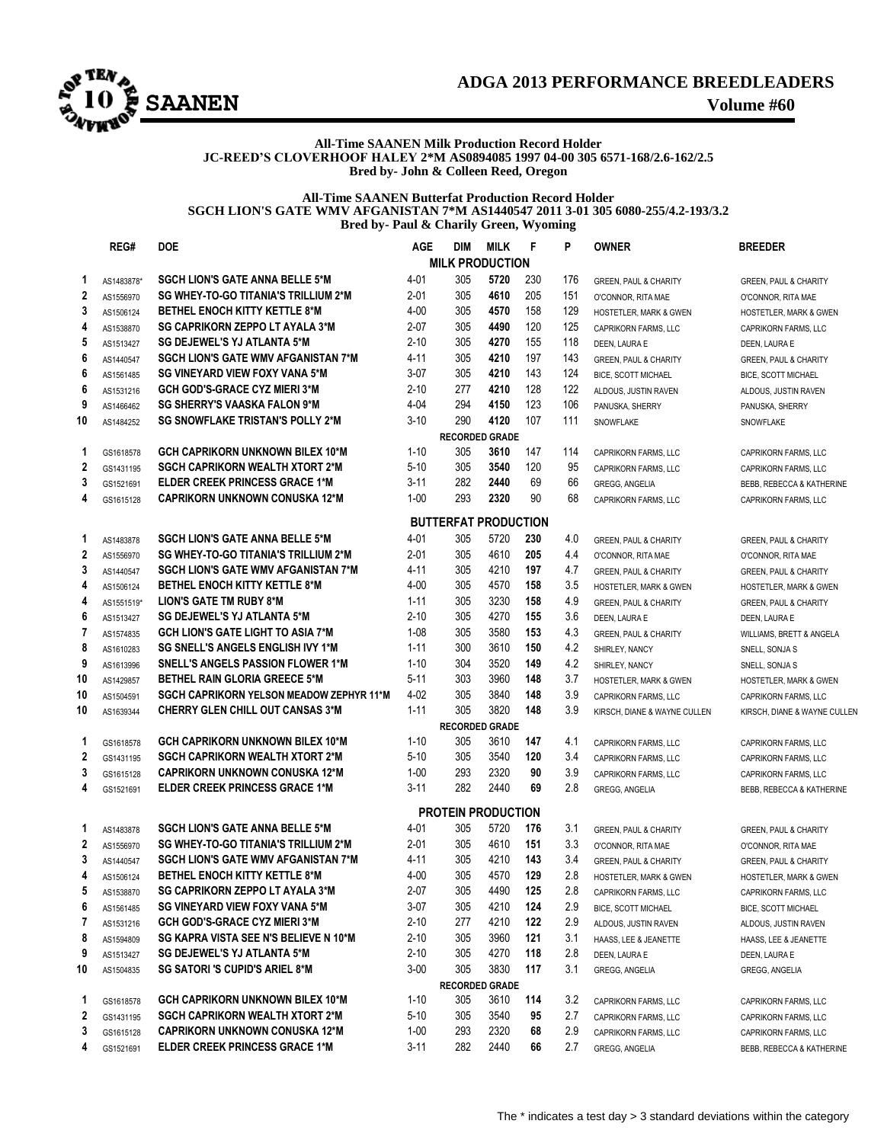

## **ADGA 2013 PERFORMANCE BREEDLEADERS**

#### **All-Time SAANEN Milk Production Record Holder JC-REED'S CLOVERHOOF HALEY 2\*M AS0894085 1997 04-00 305 6571-168/2.6-162/2.5 Bred by- John & Colleen Reed, Oregon**

**All-Time SAANEN Butterfat Production Record Holder SGCH LION'S GATE WMV AFGANISTAN 7\*M AS1440547 2011 3-01 305 6080-255/4.2-193/3.2 Bred by- Paul & Charily Green, Wyoming**

|    | REG#       | <b>DOE</b>                                 | <b>AGE</b> | DIM                         | <b>MILK</b> | F   | P   | <b>OWNER</b>                      | <b>BREEDER</b>                    |  |
|----|------------|--------------------------------------------|------------|-----------------------------|-------------|-----|-----|-----------------------------------|-----------------------------------|--|
|    |            |                                            |            | <b>MILK PRODUCTION</b>      |             |     |     |                                   |                                   |  |
| 1  | AS1483878* | <b>SGCH LION'S GATE ANNA BELLE 5*M</b>     | 4-01       | 305                         | 5720        | 230 | 176 | <b>GREEN, PAUL &amp; CHARITY</b>  | GREEN, PAUL & CHARITY             |  |
| 2  | AS1556970  | SG WHEY-TO-GO TITANIA'S TRILLIUM 2*M       | 2-01       | 305                         | 4610        | 205 | 151 | O'CONNOR, RITA MAE                | O'CONNOR, RITA MAE                |  |
| 3  | AS1506124  | <b>BETHEL ENOCH KITTY KETTLE 8*M</b>       | 4-00       | 305                         | 4570        | 158 | 129 | <b>HOSTETLER, MARK &amp; GWEN</b> | HOSTETLER, MARK & GWEN            |  |
| 4  | AS1538870  | <b>SG CAPRIKORN ZEPPO LT AYALA 3*M</b>     | $2 - 07$   | 305                         | 4490        | 120 | 125 | <b>CAPRIKORN FARMS, LLC</b>       | CAPRIKORN FARMS, LLC              |  |
| 5  | AS1513427  | <b>SG DEJEWEL'S YJ ATLANTA 5*M</b>         | $2 - 10$   | 305                         | 4270        | 155 | 118 | DEEN, LAURA E                     | DEEN, LAURA E                     |  |
| 6  | AS1440547  | <b>SGCH LION'S GATE WMV AFGANISTAN 7*M</b> | 4-11       | 305                         | 4210        | 197 | 143 | GREEN, PAUL & CHARITY             | <b>GREEN, PAUL &amp; CHARITY</b>  |  |
| 6  | AS1561485  | SG VINEYARD VIEW FOXY VANA 5*M             | $3-07$     | 305                         | 4210        | 143 | 124 | BICE, SCOTT MICHAEL               | <b>BICE, SCOTT MICHAEL</b>        |  |
| 6  | AS1531216  | <b>GCH GOD'S-GRACE CYZ MIERI 3*M</b>       | $2 - 10$   | 277                         | 4210        | 128 | 122 | ALDOUS, JUSTIN RAVEN              | ALDOUS, JUSTIN RAVEN              |  |
| 9  | AS1466462  | <b>SG SHERRY'S VAASKA FALON 9*M</b>        | $4 - 04$   | 294                         | 4150        | 123 | 106 | PANUSKA, SHERRY                   | PANUSKA, SHERRY                   |  |
| 10 | AS1484252  | <b>SG SNOWFLAKE TRISTAN'S POLLY 2*M</b>    | $3 - 10$   | 290                         | 4120        | 107 | 111 | SNOWFLAKE                         | SNOWFLAKE                         |  |
|    |            |                                            |            | <b>RECORDED GRADE</b>       |             |     |     |                                   |                                   |  |
| 1  | GS1618578  | GCH CAPRIKORN UNKNOWN BILEX 10*M           | $1 - 10$   | 305                         | 3610        | 147 | 114 | CAPRIKORN FARMS, LLC              | CAPRIKORN FARMS, LLC              |  |
| 2  | GS1431195  | <b>SGCH CAPRIKORN WEALTH XTORT 2*M</b>     | $5 - 10$   | 305                         | 3540        | 120 | 95  | CAPRIKORN FARMS, LLC              | CAPRIKORN FARMS, LLC              |  |
| 3  | GS1521691  | <b>ELDER CREEK PRINCESS GRACE 1*M</b>      | $3 - 11$   | 282                         | 2440        | 69  | 66  | <b>GREGG, ANGELIA</b>             | BEBB, REBECCA & KATHERINE         |  |
| 4  | GS1615128  | <b>CAPRIKORN UNKNOWN CONUSKA 12*M</b>      | $1 - 00$   | 293                         | 2320        | 90  | 68  | CAPRIKORN FARMS, LLC              | CAPRIKORN FARMS, LLC              |  |
|    |            |                                            |            | <b>BUTTERFAT PRODUCTION</b> |             |     |     |                                   |                                   |  |
| 1  | AS1483878  | <b>SGCH LION'S GATE ANNA BELLE 5*M</b>     | 4-01       | 305                         | 5720        | 230 | 4.0 | <b>GREEN, PAUL &amp; CHARITY</b>  | GREEN, PAUL & CHARITY             |  |
| 2  | AS1556970  | SG WHEY-TO-GO TITANIA'S TRILLIUM 2*M       | $2 - 01$   | 305                         | 4610        | 205 | 4.4 | O'CONNOR, RITA MAE                | O'CONNOR, RITA MAE                |  |
| 3  | AS1440547  | <b>SGCH LION'S GATE WMV AFGANISTAN 7*M</b> | 4-11       | 305                         | 4210        | 197 | 4.7 | <b>GREEN, PAUL &amp; CHARITY</b>  | <b>GREEN, PAUL &amp; CHARITY</b>  |  |
| 4  | AS1506124  | <b>BETHEL ENOCH KITTY KETTLE 8*M</b>       | 4-00       | 305                         | 4570        | 158 | 3.5 | HOSTETLER, MARK & GWEN            | <b>HOSTETLER, MARK &amp; GWEN</b> |  |
| 4  | AS1551519* | <b>LION'S GATE TM RUBY 8*M</b>             | $1 - 11$   | 305                         | 3230        | 158 | 4.9 | <b>GREEN, PAUL &amp; CHARITY</b>  | <b>GREEN, PAUL &amp; CHARITY</b>  |  |
| 6  | AS1513427  | SG DEJEWEL'S YJ ATLANTA 5*M                | 2-10       | 305                         | 4270        | 155 | 3.6 | DEEN, LAURA E                     | DEEN, LAURA E                     |  |
| 7  | AS1574835  | <b>GCH LION'S GATE LIGHT TO ASIA 7*M</b>   | $1 - 08$   | 305                         | 3580        | 153 | 4.3 | GREEN, PAUL & CHARITY             | WILLIAMS, BRETT & ANGELA          |  |
| 8  | AS1610283  | <b>SG SNELL'S ANGELS ENGLISH IVY 1*M</b>   | $1 - 11$   | 300                         | 3610        | 150 | 4.2 | SHIRLEY, NANCY                    | SNELL, SONJA S                    |  |
| 9  | AS1613996  | <b>SNELL'S ANGELS PASSION FLOWER 1*M</b>   | $1 - 10$   | 304                         | 3520        | 149 | 4.2 | SHIRLEY, NANCY                    | SNELL, SONJA S                    |  |
| 10 | AS1429857  | <b>BETHEL RAIN GLORIA GREECE 5*M</b>       | $5 - 11$   | 303                         | 3960        | 148 | 3.7 | <b>HOSTETLER, MARK &amp; GWEN</b> | HOSTETLER, MARK & GWEN            |  |
| 10 | AS1504591  | SGCH CAPRIKORN YELSON MEADOW ZEPHYR 11*M   | 4-02       | 305                         | 3840        | 148 | 3.9 | CAPRIKORN FARMS, LLC              | CAPRIKORN FARMS, LLC              |  |
| 10 | AS1639344  | <b>CHERRY GLEN CHILL OUT CANSAS 3*M</b>    | $1 - 11$   | 305                         | 3820        | 148 | 3.9 | KIRSCH, DIANE & WAYNE CULLEN      | KIRSCH, DIANE & WAYNE CULLEN      |  |
|    |            |                                            |            | <b>RECORDED GRADE</b>       |             |     |     |                                   |                                   |  |
| 1  | GS1618578  | GCH CAPRIKORN UNKNOWN BILEX 10*M           | $1 - 10$   | 305                         | 3610        | 147 | 4.1 | CAPRIKORN FARMS, LLC              | CAPRIKORN FARMS, LLC              |  |
| 2  | GS1431195  | <b>SGCH CAPRIKORN WEALTH XTORT 2*M</b>     | $5 - 10$   | 305                         | 3540        | 120 | 3.4 | CAPRIKORN FARMS, LLC              | CAPRIKORN FARMS, LLC              |  |
| 3  | GS1615128  | <b>CAPRIKORN UNKNOWN CONUSKA 12*M</b>      | $1 - 00$   | 293                         | 2320        | 90  | 3.9 | CAPRIKORN FARMS, LLC              | CAPRIKORN FARMS, LLC              |  |
| 4  | GS1521691  | <b>ELDER CREEK PRINCESS GRACE 1*M</b>      | $3 - 11$   | 282                         | 2440        | 69  | 2.8 | GREGG, ANGELIA                    | BEBB, REBECCA & KATHERINE         |  |
|    |            |                                            |            | <b>PROTEIN PRODUCTION</b>   |             |     |     |                                   |                                   |  |
| 1  | AS1483878  | <b>SGCH LION'S GATE ANNA BELLE 5*M</b>     | $4 - 01$   | 305                         | 5720        | 176 | 3.1 | <b>GREEN, PAUL &amp; CHARITY</b>  | <b>GREEN, PAUL &amp; CHARITY</b>  |  |
| 2  | AS1556970  | SG WHEY-TO-GO TITANIA'S TRILLIUM 2*M       | $2 - 01$   | 305                         | 4610        | 151 | 3.3 | O'CONNOR, RITA MAE                | O'CONNOR, RITA MAE                |  |
| 3  | AS1440547  | <b>SGCH LION'S GATE WMV AFGANISTAN 7*M</b> | 4-11       | 305                         | 4210        | 143 | 3.4 | <b>GREEN, PAUL &amp; CHARITY</b>  | <b>GREEN, PAUL &amp; CHARITY</b>  |  |
| 4  | AS1506124  | <b>BETHEL ENOCH KITTY KETTLE 8*M</b>       | 4-00       | 305                         | 4570        | 129 | 2.8 | HOSTETLER, MARK & GWEN            | HOSTETLER, MARK & GWEN            |  |
| 5  | AS1538870  | <b>SG CAPRIKORN ZEPPO LT AYALA 3*M</b>     | $2 - 07$   | 305                         | 4490        | 125 | 2.8 | CAPRIKORN FARMS, LLC              | CAPRIKORN FARMS, LLC              |  |
| 6  | AS1561485  | SG VINEYARD VIEW FOXY VANA 5*M             | $3-07$     | 305                         | 4210        | 124 | 2.9 | BICE, SCOTT MICHAEL               | BICE, SCOTT MICHAEL               |  |
| 7  | AS1531216  | <b>GCH GOD'S-GRACE CYZ MIERI 3*M</b>       | $2 - 10$   | 277                         | 4210        | 122 | 2.9 | ALDOUS, JUSTIN RAVEN              | ALDOUS, JUSTIN RAVEN              |  |
| 8  | AS1594809  | SG KAPRA VISTA SEE N'S BELIEVE N 10*M      | $2 - 10$   | 305                         | 3960        | 121 | 3.1 | HAASS, LEE & JEANETTE             | HAASS, LEE & JEANETTE             |  |
| 9  | AS1513427  | SG DEJEWEL'S YJ ATLANTA 5*M                | $2 - 10$   | 305                         | 4270        | 118 | 2.8 | DEEN, LAURA E                     | DEEN, LAURA E                     |  |
| 10 | AS1504835  | SG SATORI 'S CUPID'S ARIEL 8*M             | $3 - 00$   | 305                         | 3830        | 117 | 3.1 | GREGG, ANGELIA                    | GREGG, ANGELIA                    |  |
|    |            | <b>RECORDED GRADE</b>                      |            |                             |             |     |     |                                   |                                   |  |
| 1  | GS1618578  | <b>GCH CAPRIKORN UNKNOWN BILEX 10*M</b>    | $1 - 10$   | 305                         | 3610        | 114 | 3.2 | CAPRIKORN FARMS, LLC              | CAPRIKORN FARMS, LLC              |  |
| 2  | GS1431195  | <b>SGCH CAPRIKORN WEALTH XTORT 2*M</b>     | $5-10$     | 305                         | 3540        | 95  | 2.7 | CAPRIKORN FARMS, LLC              | CAPRIKORN FARMS, LLC              |  |
| 3  | GS1615128  | <b>CAPRIKORN UNKNOWN CONUSKA 12*M</b>      | $1 - 00$   | 293                         | 2320        | 68  | 2.9 | CAPRIKORN FARMS, LLC              | CAPRIKORN FARMS, LLC              |  |
| 4  | GS1521691  | ELDER CREEK PRINCESS GRACE 1*M             | $3 - 11$   | 282                         | 2440        | 66  | 2.7 | GREGG, ANGELIA                    | BEBB, REBECCA & KATHERINE         |  |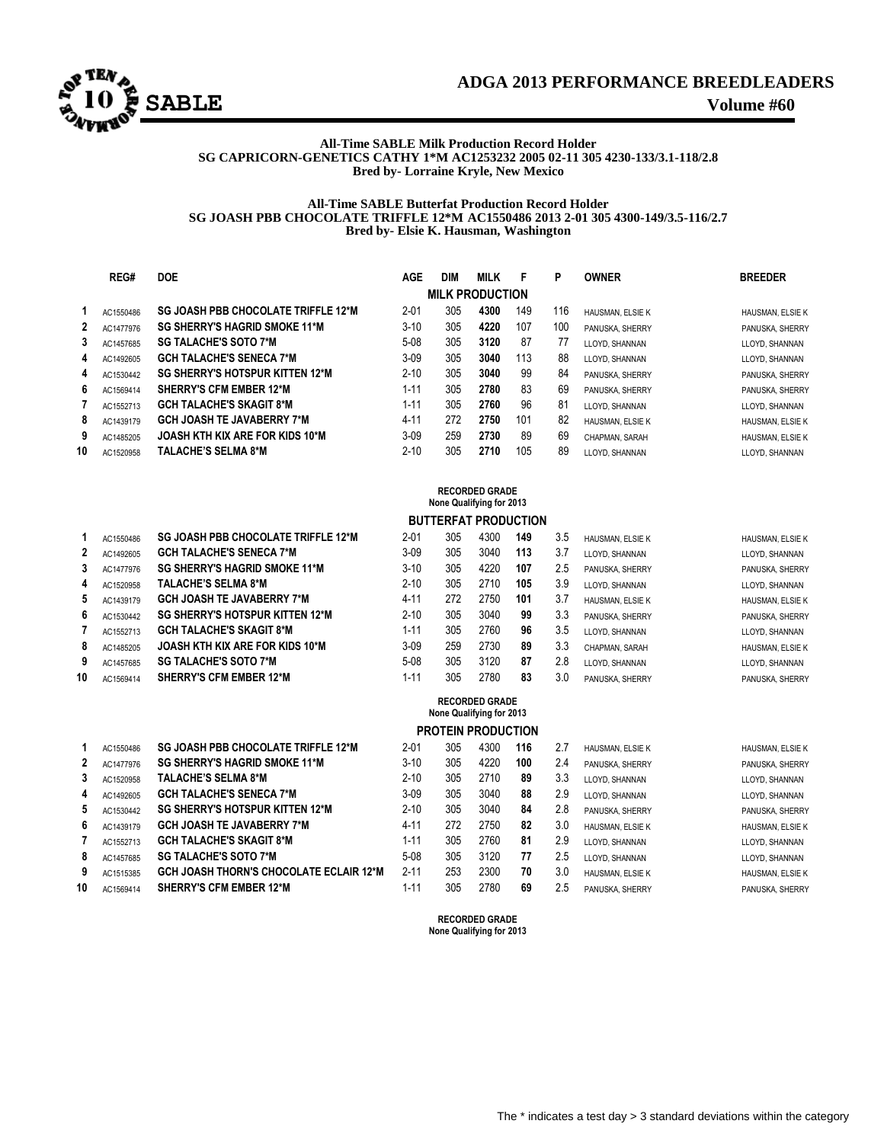

### **ADGA 2013 PERFORMANCE BREEDLEADERS**

#### **All-Time SABLE Milk Production Record Holder SG CAPRICORN-GENETICS CATHY 1\*M AC1253232 2005 02-11 305 4230-133/3.1-118/2.8 Bred by- Lorraine Kryle, New Mexico**

#### **All-Time SABLE Butterfat Production Record Holder SG JOASH PBB CHOCOLATE TRIFFLE 12\*M AC1550486 2013 2-01 305 4300-149/3.5-116/2.7 Bred by- Elsie K. Hausman, Washington**

|    | REG#      | <b>DOE</b>                                 | <b>AGE</b> | <b>DIM</b> | <b>MILK</b>            | Е   | P   | <b>OWNER</b>     | <b>BREEDER</b>   |
|----|-----------|--------------------------------------------|------------|------------|------------------------|-----|-----|------------------|------------------|
|    |           |                                            |            |            | <b>MILK PRODUCTION</b> |     |     |                  |                  |
|    | AC1550486 | <b>SG JOASH PBB CHOCOLATE TRIFFLE 12*M</b> | $2 - 01$   | 305        | 4300                   | 149 | 116 | HAUSMAN, ELSIE K | HAUSMAN, ELSIE K |
| 2  | AC1477976 | <b>SG SHERRY'S HAGRID SMOKE 11*M</b>       | $3-10$     | 305        | 4220                   | 107 | 100 | PANUSKA, SHERRY  | PANUSKA, SHERRY  |
| 3  | AC1457685 | <b>SG TALACHE'S SOTO 7*M</b>               | $5-08$     | 305        | 3120                   | 87  | 77  | LLOYD, SHANNAN   | LLOYD. SHANNAN   |
| 4  | AC1492605 | <b>GCH TALACHE'S SENECA 7*M</b>            | $3-09$     | 305        | 3040                   | 113 | 88  | LLOYD, SHANNAN   | LLOYD. SHANNAN   |
| 4  | AC1530442 | <b>SG SHERRY'S HOTSPUR KITTEN 12*M</b>     | $2 - 10$   | 305        | 3040                   | 99  | 84  | PANUSKA, SHERRY  | PANUSKA, SHERRY  |
| 6  | AC1569414 | <b>SHERRY'S CFM EMBER 12*M</b>             | $1 - 11$   | 305        | 2780                   | 83  | 69  | PANUSKA, SHERRY  | PANUSKA, SHERRY  |
|    | AC1552713 | <b>GCH TALACHE'S SKAGIT 8*M</b>            | $1 - 11$   | 305        | 2760                   | 96  | 81  | LLOYD, SHANNAN   | LLOYD. SHANNAN   |
| 8  | AC1439179 | <b>GCH JOASH TE JAVABERRY 7*M</b>          | $4 - 11$   | 272        | 2750                   | 101 | 82  | HAUSMAN, ELSIE K | HAUSMAN, ELSIE K |
| 9  | AC1485205 | <b>JOASH KTH KIX ARE FOR KIDS 10*M</b>     | $3-09$     | 259        | 2730                   | 89  | 69  | CHAPMAN, SARAH   | HAUSMAN, ELSIE K |
| 10 | AC1520958 | <b>TALACHE'S SELMA 8*M</b>                 | $2 - 10$   | 305        | 2710                   | 105 | 89  | LLOYD, SHANNAN   | LLOYD. SHANNAN   |

| 1              | AC1550486 | <b>SG JOASH PBB CHOCOLATE TRIFFLE 12*M</b> |
|----------------|-----------|--------------------------------------------|
| $\overline{2}$ | AC1492605 | <b>GCH TALACHE'S SENECA 7*M</b>            |
| 3              | AC1477976 | <b>SG SHERRY'S HAGRID SMOKE 11*M</b>       |
| 4              | AC1520958 | <b>TALACHE'S SELMA 8*M</b>                 |
| 5              | AC1439179 | <b>GCH JOASH TE JAVABERRY 7*M</b>          |
| 6              | AC1530442 | SG SHERRY'S HOTSPUR KITTEN 12*M            |
| 7              | AC1552713 | <b>GCH TALACHE'S SKAGIT 8*M</b>            |
| 8              | AC1485205 | JOASH KTH KIX ARE FOR KIDS 10*M            |
| 9              | AC1457685 | <b>SG TALACHE'S SOTO 7*M</b>               |
| 10             | AC1569414 | <b>SHERRY'S CFM EMBER 12*M</b>             |

| 1              | AC1550486 | <b>SG JOASH PBB CHOCOLATE TRIFFLE 12*M</b>     |
|----------------|-----------|------------------------------------------------|
| $\overline{2}$ | AC1477976 | <b>SG SHERRY'S HAGRID SMOKE 11*M</b>           |
| 3              | AC1520958 | <b>TALACHE'S SELMA 8*M</b>                     |
| 4              | AC1492605 | <b>GCH TALACHE'S SENECA 7*M</b>                |
| 5              | AC1530442 | <b>SG SHERRY'S HOTSPUR KITTEN 12*M</b>         |
| 6              | AC1439179 | <b>GCH JOASH TE JAVABERRY 7*M</b>              |
| 7              | AC1552713 | <b>GCH TALACHE'S SKAGIT 8*M</b>                |
| 8              | AC1457685 | <b>SG TALACHE'S SOTO 7*M</b>                   |
| 9              | AC1515385 | <b>GCH JOASH THORN'S CHOCOLATE ECLAIR 12*M</b> |
| 10             | AC1569414 | <b>SHERRY'S CFM EMBER 12*M</b>                 |

| <b>RECORDED GRADE</b><br>None Qualifying for 2013 |           |                                                |          |                             |                       |     |     |                         |                  |  |
|---------------------------------------------------|-----------|------------------------------------------------|----------|-----------------------------|-----------------------|-----|-----|-------------------------|------------------|--|
|                                                   |           |                                                |          | <b>BUTTERFAT PRODUCTION</b> |                       |     |     |                         |                  |  |
| 1                                                 | AC1550486 | <b>SG JOASH PBB CHOCOLATE TRIFFLE 12*M</b>     | $2 - 01$ | 305                         | 4300                  | 149 | 3.5 | HAUSMAN, ELSIE K        | HAUSMAN, ELSIE K |  |
| $\mathbf{2}$                                      | AC1492605 | <b>GCH TALACHE'S SENECA 7*M</b>                | $3-09$   | 305                         | 3040                  | 113 | 3.7 | LLOYD, SHANNAN          | LLOYD, SHANNAN   |  |
| 3                                                 | AC1477976 | <b>SG SHERRY'S HAGRID SMOKE 11*M</b>           | $3 - 10$ | 305                         | 4220                  | 107 | 2.5 | PANUSKA, SHERRY         | PANUSKA, SHERRY  |  |
| 4                                                 | AC1520958 | <b>TALACHE'S SELMA 8*M</b>                     | $2 - 10$ | 305                         | 2710                  | 105 | 3.9 | LLOYD. SHANNAN          | LLOYD, SHANNAN   |  |
| 5                                                 | AC1439179 | <b>GCH JOASH TE JAVABERRY 7*M</b>              | $4 - 11$ | 272                         | 2750                  | 101 | 3.7 | HAUSMAN, ELSIE K        | HAUSMAN, ELSIE K |  |
| 6                                                 | AC1530442 | <b>SG SHERRY'S HOTSPUR KITTEN 12*M</b>         | $2 - 10$ | 305                         | 3040                  | 99  | 3.3 | PANUSKA, SHERRY         | PANUSKA, SHERRY  |  |
| 7                                                 | AC1552713 | <b>GCH TALACHE'S SKAGIT 8*M</b>                | $1 - 11$ | 305                         | 2760                  | 96  | 3.5 | LLOYD, SHANNAN          | LLOYD, SHANNAN   |  |
| 8                                                 | AC1485205 | JOASH KTH KIX ARE FOR KIDS 10*M                | $3 - 09$ | 259                         | 2730                  | 89  | 3.3 | CHAPMAN, SARAH          | HAUSMAN, ELSIE K |  |
| 9                                                 | AC1457685 | <b>SG TALACHE'S SOTO 7*M</b>                   | $5 - 08$ | 305                         | 3120                  | 87  | 2.8 | LLOYD. SHANNAN          | LLOYD, SHANNAN   |  |
| 10                                                | AC1569414 | <b>SHERRY'S CFM EMBER 12*M</b>                 | $1 - 11$ | 305                         | 2780                  | 83  | 3.0 | PANUSKA, SHERRY         | PANUSKA, SHERRY  |  |
|                                                   |           |                                                |          | None Qualifying for 2013    | <b>RECORDED GRADE</b> |     |     |                         |                  |  |
|                                                   |           |                                                |          | <b>PROTEIN PRODUCTION</b>   |                       |     |     |                         |                  |  |
| 1                                                 | AC1550486 | <b>SG JOASH PBB CHOCOLATE TRIFFLE 12*M</b>     | $2 - 01$ | 305                         | 4300                  | 116 | 2.7 | HAUSMAN, ELSIE K        | HAUSMAN, ELSIE K |  |
| 2                                                 | AC1477976 | <b>SG SHERRY'S HAGRID SMOKE 11*M</b>           | $3 - 10$ | 305                         | 4220                  | 100 | 2.4 | PANUSKA, SHERRY         | PANUSKA, SHERRY  |  |
| 3                                                 | AC1520958 | <b>TALACHE'S SELMA 8*M</b>                     | $2 - 10$ | 305                         | 2710                  | 89  | 3.3 | LLOYD, SHANNAN          | LLOYD, SHANNAN   |  |
| 4                                                 | AC1492605 | <b>GCH TALACHE'S SENECA 7*M</b>                | $3 - 09$ | 305                         | 3040                  | 88  | 2.9 | LLOYD, SHANNAN          | LLOYD, SHANNAN   |  |
| 5                                                 | AC1530442 | <b>SG SHERRY'S HOTSPUR KITTEN 12*M</b>         | $2 - 10$ | 305                         | 3040                  | 84  | 2.8 | PANUSKA, SHERRY         | PANUSKA, SHERRY  |  |
| 6                                                 | AC1439179 | <b>GCH JOASH TE JAVABERRY 7*M</b>              | $4 - 11$ | 272                         | 2750                  | 82  | 3.0 | <b>HAUSMAN, ELSIE K</b> | HAUSMAN, ELSIE K |  |
| 7                                                 | AC1552713 | <b>GCH TALACHE'S SKAGIT 8*M</b>                | $1 - 11$ | 305                         | 2760                  | 81  | 2.9 | LLOYD, SHANNAN          | LLOYD, SHANNAN   |  |
| 8                                                 | AC1457685 | <b>SG TALACHE'S SOTO 7*M</b>                   | $5 - 08$ | 305                         | 3120                  | 77  | 2.5 | LLOYD, SHANNAN          | LLOYD, SHANNAN   |  |
| 9                                                 | AC1515385 | <b>GCH JOASH THORN'S CHOCOLATE ECLAIR 12*M</b> | $2 - 11$ | 253                         | 2300                  | 70  | 3.0 | HAUSMAN, ELSIE K        | HAUSMAN, ELSIE K |  |
| 10                                                | AC1569414 | <b>SHERRY'S CFM EMBER 12*M</b>                 | $1 - 11$ | 305                         | 2780                  | 69  | 2.5 | PANUSKA, SHERRY         | PANUSKA, SHERRY  |  |

**RECORDED GRADE None Qualifying for 2013**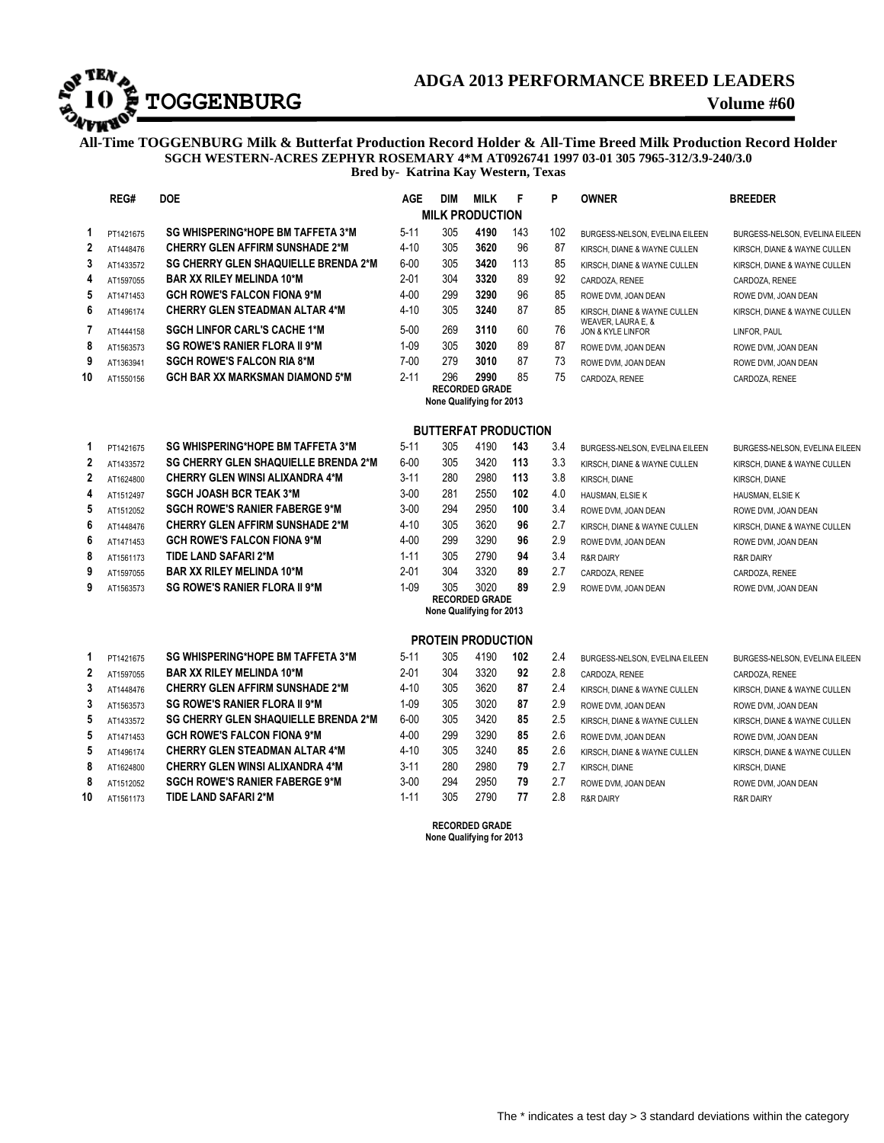## **ADGA 2013 PERFORMANCE BREED LEADERS**<br>**TOGGENBURG**<br>Volume #60

## **ADGA 2013 PERFORMANCE BREED LEADERS**

**All-Time TOGGENBURG Milk & Butterfat Production Record Holder & All-Time Breed Milk Production Record Holder SGCH WESTERN-ACRES ZEPHYR ROSEMARY 4\*M AT0926741 1997 03-01 305 7965-312/3.9-240/3.0 Bred by- Katrina Kay Western, Texas**

|                          | REG#      | <b>DOE</b>                                  | AGE      | <b>DIM</b> | <b>MILK</b>                                       | F   | P   | <b>OWNER</b>                            | <b>BREEDER</b>                 |  |  |
|--------------------------|-----------|---------------------------------------------|----------|------------|---------------------------------------------------|-----|-----|-----------------------------------------|--------------------------------|--|--|
| <b>MILK PRODUCTION</b>   |           |                                             |          |            |                                                   |     |     |                                         |                                |  |  |
| 1                        | PT1421675 | SG WHISPERING*HOPE BM TAFFETA 3*M           | $5 - 11$ | 305        | 4190                                              | 143 | 102 | BURGESS-NELSON, EVELINA EILEEN          | BURGESS-NELSON, EVELINA EILEEN |  |  |
| $\mathbf{2}$             | AT1448476 | <b>CHERRY GLEN AFFIRM SUNSHADE 2*M</b>      | $4 - 10$ | 305        | 3620                                              | 96  | 87  | KIRSCH. DIANE & WAYNE CULLEN            | KIRSCH, DIANE & WAYNE CULLEN   |  |  |
| 3                        | AT1433572 | <b>SG CHERRY GLEN SHAQUIELLE BRENDA 2*M</b> | $6 - 00$ | 305        | 3420                                              | 113 | 85  | KIRSCH. DIANE & WAYNE CULLEN            | KIRSCH. DIANE & WAYNE CULLEN   |  |  |
| 4                        | AT1597055 | <b>BAR XX RILEY MELINDA 10*M</b>            | $2 - 01$ | 304        | 3320                                              | 89  | 92  | CARDOZA, RENEE                          | CARDOZA, RENEE                 |  |  |
| 5                        | AT1471453 | <b>GCH ROWE'S FALCON FIONA 9*M</b>          | $4 - 00$ | 299        | 3290                                              | 96  | 85  | ROWE DVM, JOAN DEAN                     | ROWE DVM, JOAN DEAN            |  |  |
| 6                        | AT1496174 | <b>CHERRY GLEN STEADMAN ALTAR 4*M</b>       | $4 - 10$ | 305        | 3240                                              | 87  | 85  | KIRSCH, DIANE & WAYNE CULLEN            | KIRSCH, DIANE & WAYNE CULLEN   |  |  |
| $\overline{1}$           | AT1444158 | <b>SGCH LINFOR CARL'S CACHE 1*M</b>         | $5 - 00$ | 269        | 3110                                              | 60  | 76  | WEAVER, LAURA E, &<br>JON & KYLE LINFOR | LINFOR, PAUL                   |  |  |
| 8                        | AT1563573 | <b>SG ROWE'S RANIER FLORA II 9*M</b>        | $1 - 09$ | 305        | 3020                                              | 89  | 87  | ROWE DVM, JOAN DEAN                     | ROWE DVM, JOAN DEAN            |  |  |
| 9                        | AT1363941 | <b>SGCH ROWE'S FALCON RIA 8*M</b>           | $7 - 00$ | 279        | 3010                                              | 87  | 73  | ROWE DVM, JOAN DEAN                     | ROWE DVM, JOAN DEAN            |  |  |
| 10                       | AT1550156 | <b>GCH BAR XX MARKSMAN DIAMOND 5*M</b>      | $2 - 11$ | 296        | 2990                                              | 85  | 75  | CARDOZA, RENEE                          | CARDOZA, RENEE                 |  |  |
|                          |           | <b>RECORDED GRADE</b>                       |          |            |                                                   |     |     |                                         |                                |  |  |
| None Qualifying for 2013 |           |                                             |          |            |                                                   |     |     |                                         |                                |  |  |
|                          |           |                                             |          |            | <b>BUTTERFAT PRODUCTION</b>                       |     |     |                                         |                                |  |  |
| 1                        | PT1421675 | SG WHISPERING*HOPE BM TAFFETA 3*M           | $5 - 11$ | 305        | 4190                                              | 143 | 3.4 | BURGESS-NELSON. EVELINA EILEEN          | BURGESS-NELSON. EVELINA EILEEN |  |  |
| $\mathbf{2}$             | AT1433572 | <b>SG CHERRY GLEN SHAQUIELLE BRENDA 2*M</b> | $6 - 00$ | 305        | 3420                                              | 113 | 3.3 | KIRSCH, DIANE & WAYNE CULLEN            | KIRSCH, DIANE & WAYNE CULLEN   |  |  |
| $\mathbf{2}$             | AT1624800 | <b>CHERRY GLEN WINSI ALIXANDRA 4*M</b>      | $3 - 11$ | 280        | 2980                                              | 113 | 3.8 | KIRSCH, DIANE                           | KIRSCH, DIANE                  |  |  |
| 4                        | AT1512497 | <b>SGCH JOASH BCR TEAK 3*M</b>              | $3 - 00$ | 281        | 2550                                              | 102 | 4.0 | HAUSMAN, ELSIE K                        | HAUSMAN, ELSIE K               |  |  |
| 5                        | AT1512052 | <b>SGCH ROWE'S RANIER FABERGE 9*M</b>       | $3 - 00$ | 294        | 2950                                              | 100 | 3.4 | ROWE DVM, JOAN DEAN                     | ROWE DVM, JOAN DEAN            |  |  |
| 6                        | AT1448476 | <b>CHERRY GLEN AFFIRM SUNSHADE 2*M</b>      | $4 - 10$ | 305        | 3620                                              | 96  | 2.7 | KIRSCH, DIANE & WAYNE CULLEN            | KIRSCH, DIANE & WAYNE CULLEN   |  |  |
| 6                        | AT1471453 | <b>GCH ROWE'S FALCON FIONA 9*M</b>          | $4 - 00$ | 299        | 3290                                              | 96  | 2.9 | ROWE DVM, JOAN DEAN                     | ROWE DVM, JOAN DEAN            |  |  |
| 8                        | AT1561173 | TIDE LAND SAFARI 2*M                        | $1 - 11$ | 305        | 2790                                              | 94  | 3.4 | <b>R&amp;R DAIRY</b>                    | <b>R&amp;R DAIRY</b>           |  |  |
| 9                        | AT1597055 | <b>BAR XX RILEY MELINDA 10*M</b>            | $2 - 01$ | 304        | 3320                                              | 89  | 2.7 | CARDOZA, RENEE                          | CARDOZA, RENEE                 |  |  |
| 9                        | AT1563573 | <b>SG ROWE'S RANIER FLORA II 9*M</b>        | $1 - 09$ | 305        | 3020                                              | 89  | 2.9 | ROWE DVM, JOAN DEAN                     | ROWE DVM, JOAN DEAN            |  |  |
|                          |           |                                             |          |            | <b>RECORDED GRADE</b>                             |     |     |                                         |                                |  |  |
|                          |           |                                             |          |            | None Qualifying for 2013                          |     |     |                                         |                                |  |  |
|                          |           |                                             |          |            | <b>PROTEIN PRODUCTION</b>                         |     |     |                                         |                                |  |  |
| 1                        | PT1421675 | SG WHISPERING*HOPE BM TAFFETA 3*M           | $5 - 11$ | 305        | 4190                                              | 102 | 2.4 | BURGESS-NELSON, EVELINA EILEEN          | BURGESS-NELSON, EVELINA EILEEN |  |  |
| $\mathbf{2}$             | AT1597055 | <b>BAR XX RILEY MELINDA 10*M</b>            | $2 - 01$ | 304        | 3320                                              | 92  | 2.8 | CARDOZA, RENEE                          | CARDOZA, RENEE                 |  |  |
| 3                        | AT1448476 | <b>CHERRY GLEN AFFIRM SUNSHADE 2*M</b>      | $4 - 10$ | 305        | 3620                                              | 87  | 2.4 | KIRSCH, DIANE & WAYNE CULLEN            | KIRSCH, DIANE & WAYNE CULLEN   |  |  |
| 3                        | AT1563573 | <b>SG ROWE'S RANIER FLORA II 9*M</b>        | $1 - 09$ | 305        | 3020                                              | 87  | 2.9 | ROWE DVM, JOAN DEAN                     | ROWE DVM, JOAN DEAN            |  |  |
| 5                        | AT1433572 | <b>SG CHERRY GLEN SHAQUIELLE BRENDA 2*M</b> | $6 - 00$ | 305        | 3420                                              | 85  | 2.5 | KIRSCH, DIANE & WAYNE CULLEN            | KIRSCH, DIANE & WAYNE CULLEN   |  |  |
| 5                        | AT1471453 | <b>GCH ROWE'S FALCON FIONA 9*M</b>          | $4 - 00$ | 299        | 3290                                              | 85  | 2.6 | ROWE DVM, JOAN DEAN                     | ROWE DVM, JOAN DEAN            |  |  |
| 5                        | AT1496174 | <b>CHERRY GLEN STEADMAN ALTAR 4*M</b>       | $4 - 10$ | 305        | 3240                                              | 85  | 2.6 | KIRSCH, DIANE & WAYNE CULLEN            | KIRSCH, DIANE & WAYNE CULLEN   |  |  |
| 8                        | AT1624800 | <b>CHERRY GLEN WINSI ALIXANDRA 4*M</b>      | $3 - 11$ | 280        | 2980                                              | 79  | 2.7 | KIRSCH, DIANE                           | KIRSCH, DIANE                  |  |  |
| 8                        | AT1512052 | <b>SGCH ROWE'S RANIER FABERGE 9*M</b>       | $3 - 00$ | 294        | 2950                                              | 79  | 2.7 | ROWE DVM, JOAN DEAN                     | ROWE DVM, JOAN DEAN            |  |  |
| 10                       | AT1561173 | TIDE LAND SAFARI 2*M                        | $1 - 11$ | 305        | 2790                                              | 77  | 2.8 | <b>R&amp;R DAIRY</b>                    | <b>R&amp;R DAIRY</b>           |  |  |
|                          |           |                                             |          |            | <b>RECORDED GRADE</b><br>None Qualifying for 2013 |     |     |                                         |                                |  |  |